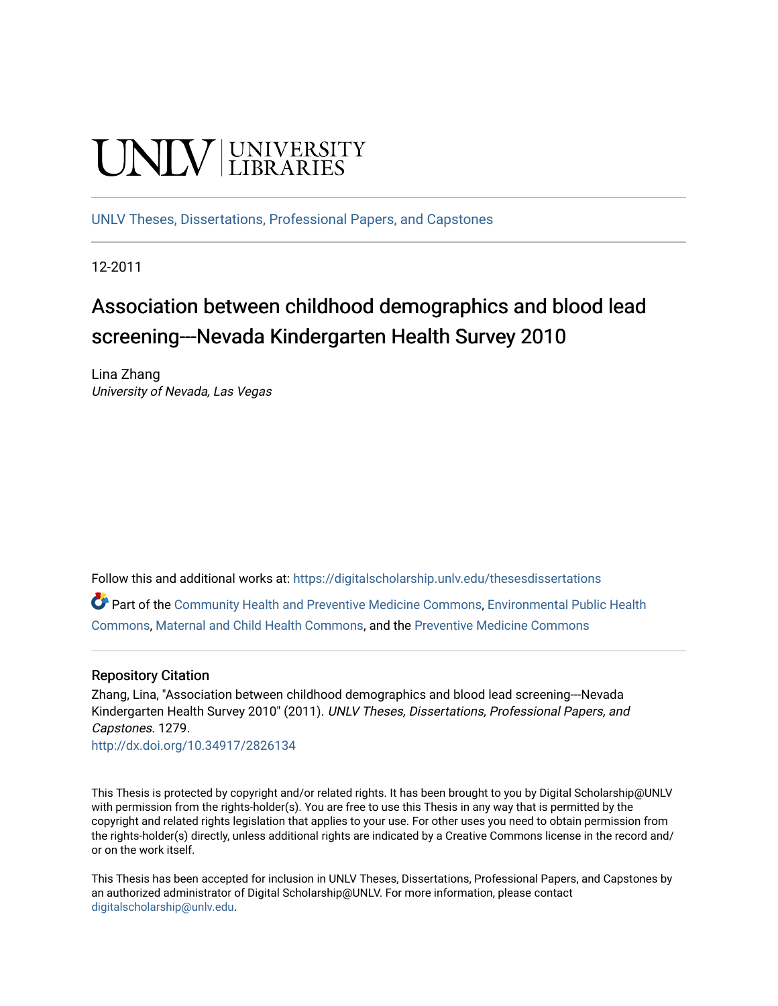# **UNIVERSITY**

[UNLV Theses, Dissertations, Professional Papers, and Capstones](https://digitalscholarship.unlv.edu/thesesdissertations)

12-2011

# Association between childhood demographics and blood lead screening---Nevada Kindergarten Health Survey 2010

Lina Zhang University of Nevada, Las Vegas

Follow this and additional works at: [https://digitalscholarship.unlv.edu/thesesdissertations](https://digitalscholarship.unlv.edu/thesesdissertations?utm_source=digitalscholarship.unlv.edu%2Fthesesdissertations%2F1279&utm_medium=PDF&utm_campaign=PDFCoverPages)

Part of the [Community Health and Preventive Medicine Commons](http://network.bepress.com/hgg/discipline/744?utm_source=digitalscholarship.unlv.edu%2Fthesesdissertations%2F1279&utm_medium=PDF&utm_campaign=PDFCoverPages), [Environmental Public Health](http://network.bepress.com/hgg/discipline/739?utm_source=digitalscholarship.unlv.edu%2Fthesesdissertations%2F1279&utm_medium=PDF&utm_campaign=PDFCoverPages)  [Commons](http://network.bepress.com/hgg/discipline/739?utm_source=digitalscholarship.unlv.edu%2Fthesesdissertations%2F1279&utm_medium=PDF&utm_campaign=PDFCoverPages), [Maternal and Child Health Commons](http://network.bepress.com/hgg/discipline/745?utm_source=digitalscholarship.unlv.edu%2Fthesesdissertations%2F1279&utm_medium=PDF&utm_campaign=PDFCoverPages), and the [Preventive Medicine Commons](http://network.bepress.com/hgg/discipline/703?utm_source=digitalscholarship.unlv.edu%2Fthesesdissertations%2F1279&utm_medium=PDF&utm_campaign=PDFCoverPages)

#### Repository Citation

Zhang, Lina, "Association between childhood demographics and blood lead screening---Nevada Kindergarten Health Survey 2010" (2011). UNLV Theses, Dissertations, Professional Papers, and Capstones. 1279.

<http://dx.doi.org/10.34917/2826134>

This Thesis is protected by copyright and/or related rights. It has been brought to you by Digital Scholarship@UNLV with permission from the rights-holder(s). You are free to use this Thesis in any way that is permitted by the copyright and related rights legislation that applies to your use. For other uses you need to obtain permission from the rights-holder(s) directly, unless additional rights are indicated by a Creative Commons license in the record and/ or on the work itself.

This Thesis has been accepted for inclusion in UNLV Theses, Dissertations, Professional Papers, and Capstones by an authorized administrator of Digital Scholarship@UNLV. For more information, please contact [digitalscholarship@unlv.edu](mailto:digitalscholarship@unlv.edu).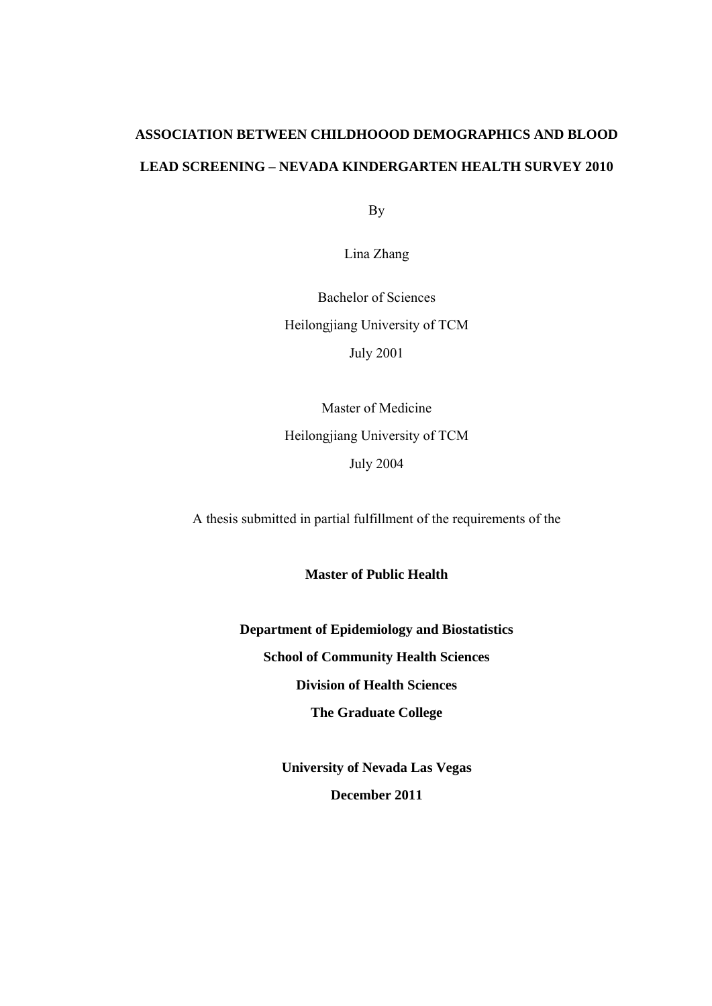# **ASSOCIATION BETWEEN CHILDHOOOD DEMOGRAPHICS AND BLOOD LEAD SCREENING – NEVADA KINDERGARTEN HEALTH SURVEY 2010**

By

Lina Zhang

Bachelor of Sciences Heilongjiang University of TCM July 2001

Master of Medicine Heilongjiang University of TCM July 2004

A thesis submitted in partial fulfillment of the requirements of the

**Master of Public Health** 

**Department of Epidemiology and Biostatistics School of Community Health Sciences Division of Health Sciences The Graduate College** 

> **University of Nevada Las Vegas December 2011**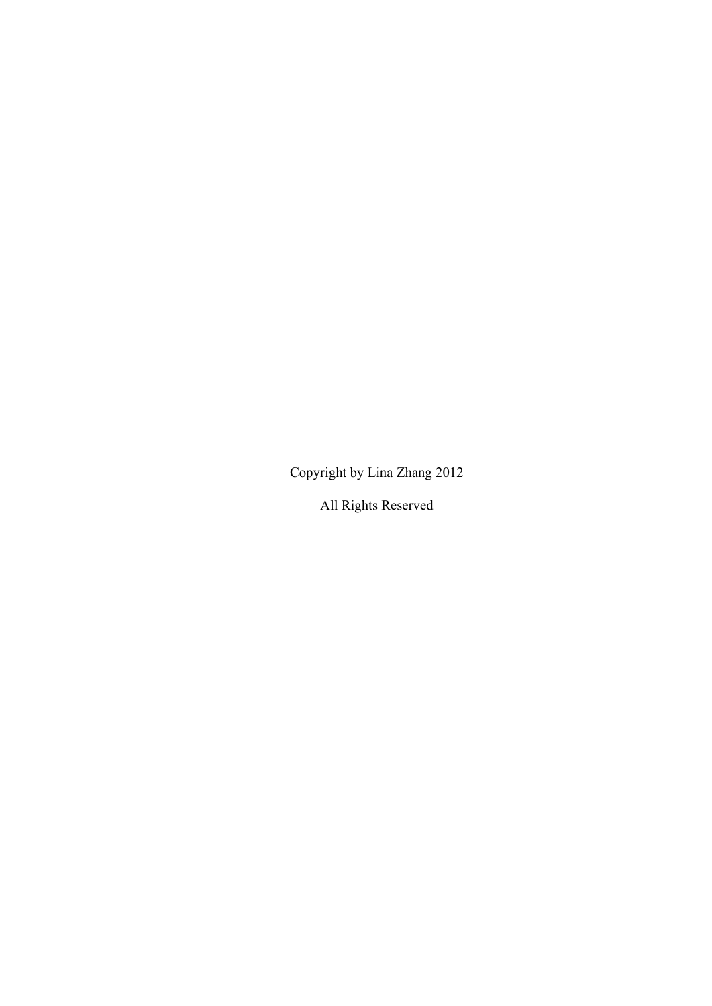Copyright by Lina Zhang 2012

All Rights Reserved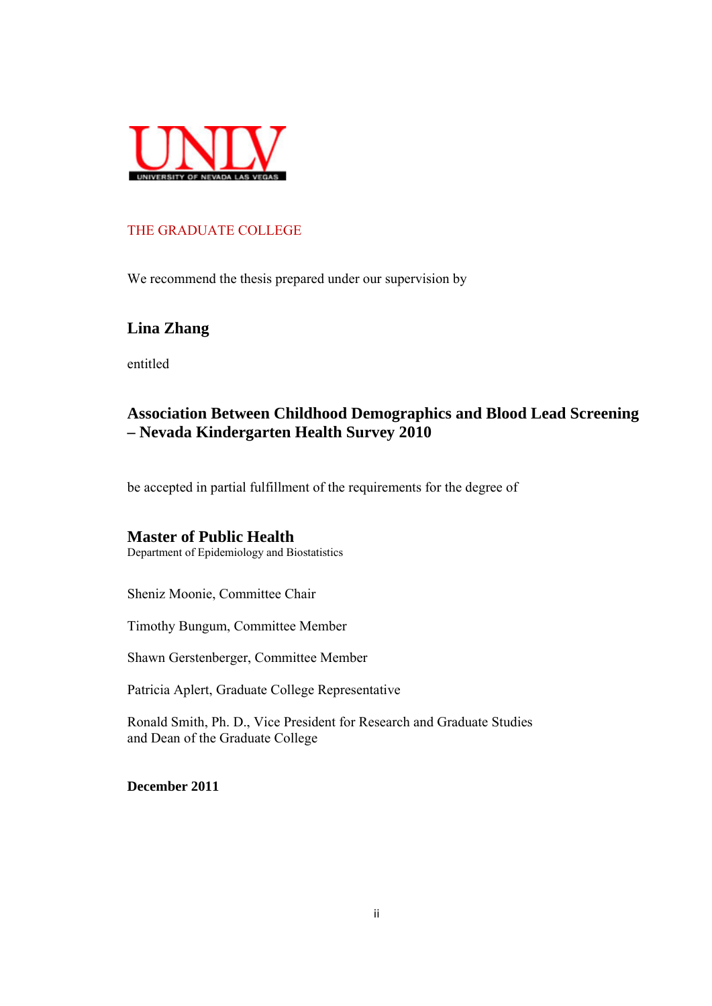

# THE GRADUATE COLLEGE

We recommend the thesis prepared under our supervision by

# **Lina Zhang**

entitled

# **Association Between Childhood Demographics and Blood Lead Screening – Nevada Kindergarten Health Survey 2010**

be accepted in partial fulfillment of the requirements for the degree of

#### **Master of Public Health**

Department of Epidemiology and Biostatistics

Sheniz Moonie, Committee Chair

Timothy Bungum, Committee Member

Shawn Gerstenberger, Committee Member

Patricia Aplert, Graduate College Representative

Ronald Smith, Ph. D., Vice President for Research and Graduate Studies and Dean of the Graduate College

**December 2011**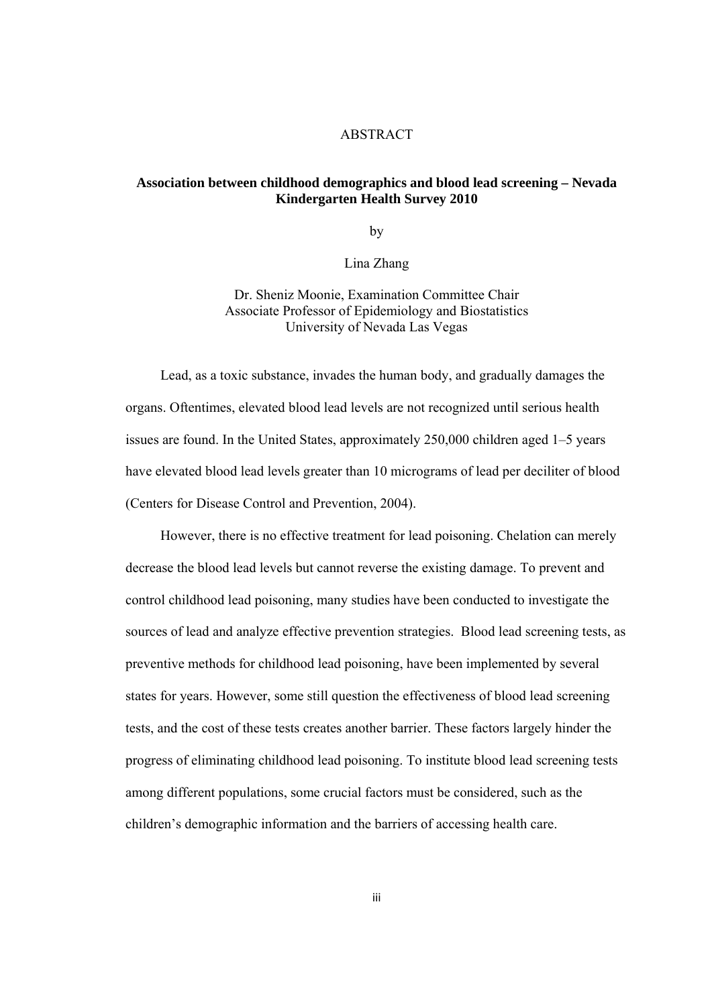#### ABSTRACT

#### **Association between childhood demographics and blood lead screening – Nevada Kindergarten Health Survey 2010**

by

Lina Zhang

Dr. Sheniz Moonie, Examination Committee Chair Associate Professor of Epidemiology and Biostatistics University of Nevada Las Vegas

 Lead, as a toxic substance, invades the human body, and gradually damages the organs. Oftentimes, elevated blood lead levels are not recognized until serious health issues are found. In the United States, approximately 250,000 children aged 1–5 years have elevated blood lead levels greater than 10 micrograms of lead per deciliter of blood (Centers for Disease Control and Prevention, 2004).

 However, there is no effective treatment for lead poisoning. Chelation can merely decrease the blood lead levels but cannot reverse the existing damage. To prevent and control childhood lead poisoning, many studies have been conducted to investigate the sources of lead and analyze effective prevention strategies. Blood lead screening tests, as preventive methods for childhood lead poisoning, have been implemented by several states for years. However, some still question the effectiveness of blood lead screening tests, and the cost of these tests creates another barrier. These factors largely hinder the progress of eliminating childhood lead poisoning. To institute blood lead screening tests among different populations, some crucial factors must be considered, such as the children's demographic information and the barriers of accessing health care.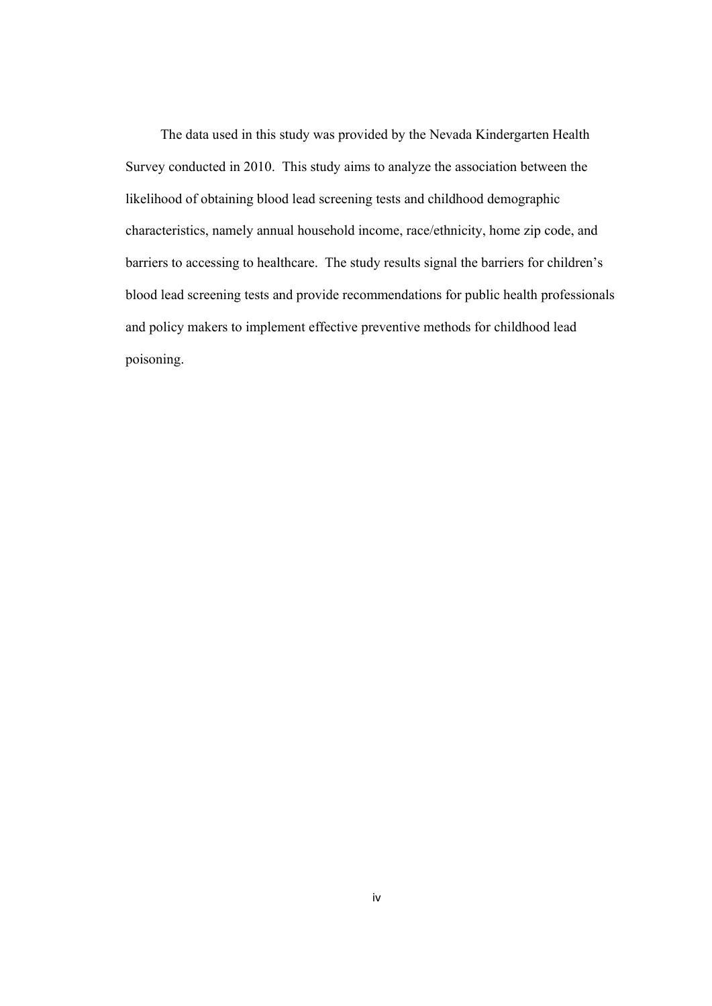The data used in this study was provided by the Nevada Kindergarten Health Survey conducted in 2010. This study aims to analyze the association between the likelihood of obtaining blood lead screening tests and childhood demographic characteristics, namely annual household income, race/ethnicity, home zip code, and barriers to accessing to healthcare. The study results signal the barriers for children's blood lead screening tests and provide recommendations for public health professionals and policy makers to implement effective preventive methods for childhood lead poisoning.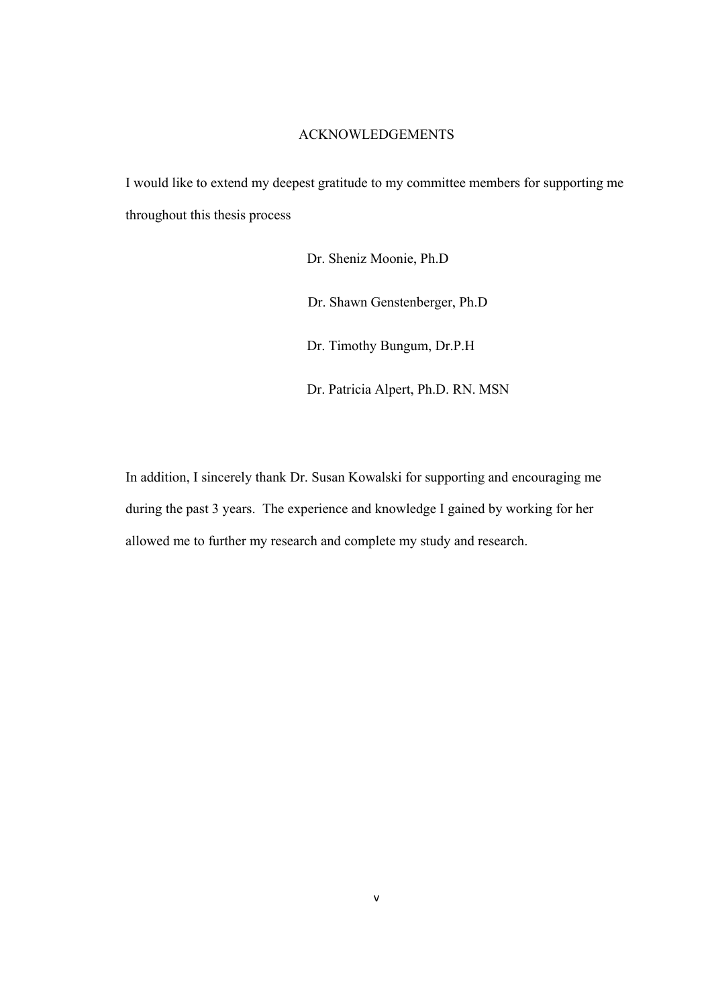#### ACKNOWLEDGEMENTS

I would like to extend my deepest gratitude to my committee members for supporting me throughout this thesis process

> Dr. Sheniz Moonie, Ph.D Dr. Shawn Genstenberger, Ph.D Dr. Timothy Bungum, Dr.P.H Dr. Patricia Alpert, Ph.D. RN. MSN

In addition, I sincerely thank Dr. Susan Kowalski for supporting and encouraging me during the past 3 years. The experience and knowledge I gained by working for her allowed me to further my research and complete my study and research.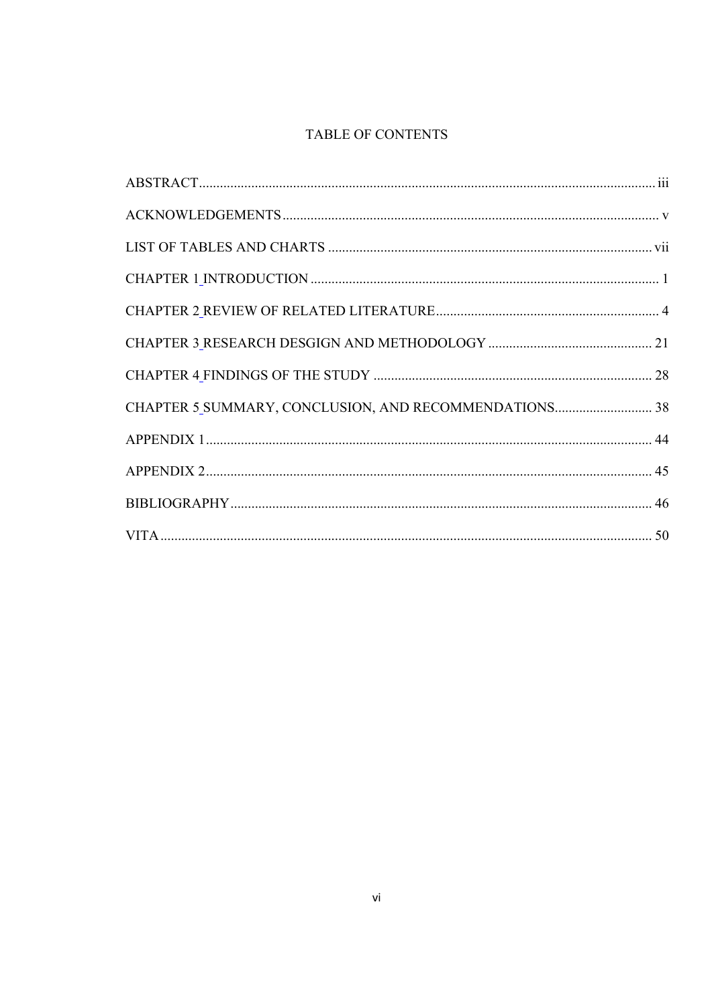# TABLE OF CONTENTS

| CHAPTER 5_SUMMARY, CONCLUSION, AND RECOMMENDATIONS 38 |  |
|-------------------------------------------------------|--|
|                                                       |  |
|                                                       |  |
|                                                       |  |
|                                                       |  |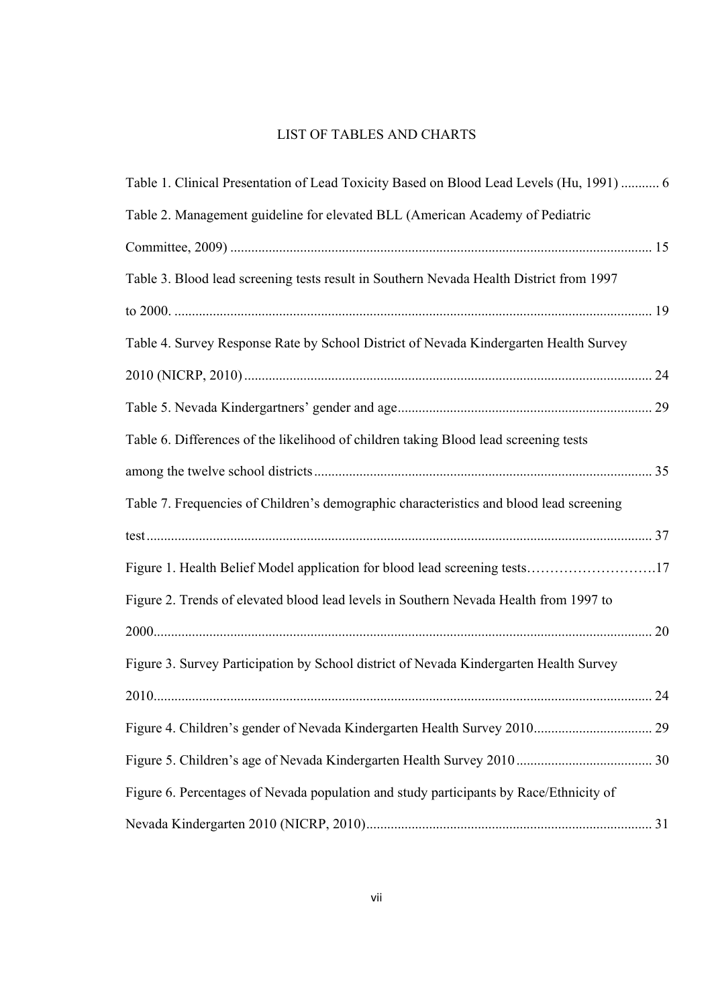# LIST OF TABLES AND CHARTS

| Table 1. Clinical Presentation of Lead Toxicity Based on Blood Lead Levels (Hu, 1991)  6 |  |
|------------------------------------------------------------------------------------------|--|
| Table 2. Management guideline for elevated BLL (American Academy of Pediatric            |  |
|                                                                                          |  |
| Table 3. Blood lead screening tests result in Southern Nevada Health District from 1997  |  |
|                                                                                          |  |
| Table 4. Survey Response Rate by School District of Nevada Kindergarten Health Survey    |  |
|                                                                                          |  |
|                                                                                          |  |
| Table 6. Differences of the likelihood of children taking Blood lead screening tests     |  |
|                                                                                          |  |
| Table 7. Frequencies of Children's demographic characteristics and blood lead screening  |  |
|                                                                                          |  |
| Figure 1. Health Belief Model application for blood lead screening tests17               |  |
| Figure 2. Trends of elevated blood lead levels in Southern Nevada Health from 1997 to    |  |
|                                                                                          |  |
| Figure 3. Survey Participation by School district of Nevada Kindergarten Health Survey   |  |
|                                                                                          |  |
|                                                                                          |  |
|                                                                                          |  |
| Figure 6. Percentages of Nevada population and study participants by Race/Ethnicity of   |  |
|                                                                                          |  |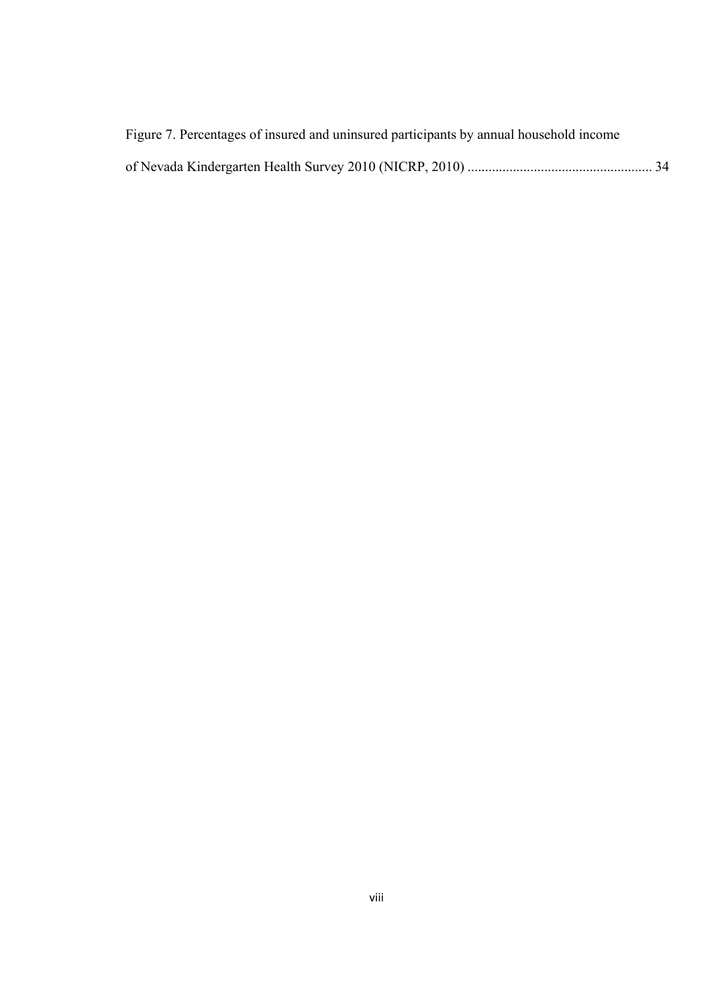| Figure 7. Percentages of insured and uninsured participants by annual household income |  |
|----------------------------------------------------------------------------------------|--|
|                                                                                        |  |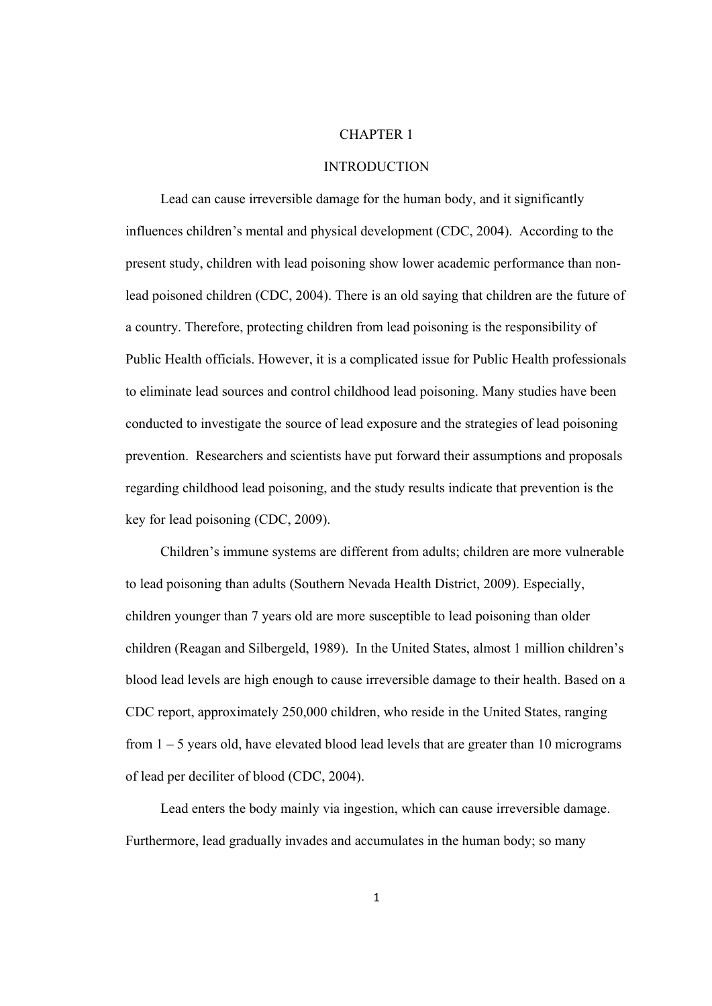#### CHAPTER 1

#### INTRODUCTION

 Lead can cause irreversible damage for the human body, and it significantly influences children's mental and physical development (CDC, 2004). According to the present study, children with lead poisoning show lower academic performance than nonlead poisoned children (CDC, 2004). There is an old saying that children are the future of a country. Therefore, protecting children from lead poisoning is the responsibility of Public Health officials. However, it is a complicated issue for Public Health professionals to eliminate lead sources and control childhood lead poisoning. Many studies have been conducted to investigate the source of lead exposure and the strategies of lead poisoning prevention. Researchers and scientists have put forward their assumptions and proposals regarding childhood lead poisoning, and the study results indicate that prevention is the key for lead poisoning (CDC, 2009).

 Children's immune systems are different from adults; children are more vulnerable to lead poisoning than adults (Southern Nevada Health District, 2009). Especially, children younger than 7 years old are more susceptible to lead poisoning than older children (Reagan and Silbergeld, 1989). In the United States, almost 1 million children's blood lead levels are high enough to cause irreversible damage to their health. Based on a CDC report, approximately 250,000 children, who reside in the United States, ranging from 1 – 5 years old, have elevated blood lead levels that are greater than 10 micrograms of lead per deciliter of blood (CDC, 2004).

 Lead enters the body mainly via ingestion, which can cause irreversible damage. Furthermore, lead gradually invades and accumulates in the human body; so many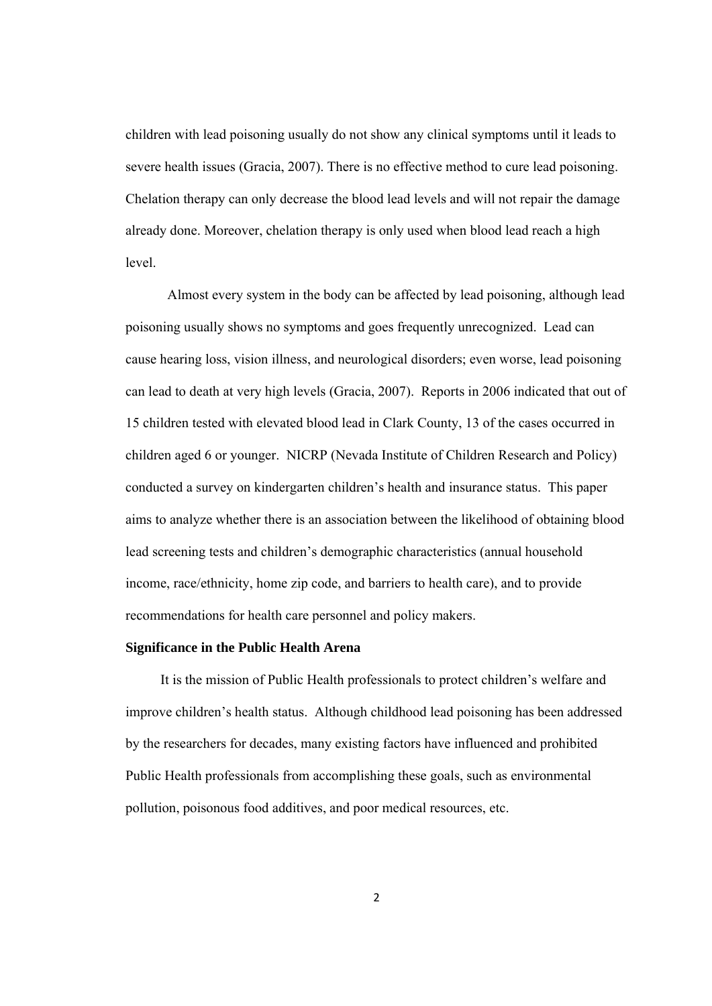children with lead poisoning usually do not show any clinical symptoms until it leads to severe health issues (Gracia, 2007). There is no effective method to cure lead poisoning. Chelation therapy can only decrease the blood lead levels and will not repair the damage already done. Moreover, chelation therapy is only used when blood lead reach a high level.

 Almost every system in the body can be affected by lead poisoning, although lead poisoning usually shows no symptoms and goes frequently unrecognized. Lead can cause hearing loss, vision illness, and neurological disorders; even worse, lead poisoning can lead to death at very high levels (Gracia, 2007). Reports in 2006 indicated that out of 15 children tested with elevated blood lead in Clark County, 13 of the cases occurred in children aged 6 or younger. NICRP (Nevada Institute of Children Research and Policy) conducted a survey on kindergarten children's health and insurance status. This paper aims to analyze whether there is an association between the likelihood of obtaining blood lead screening tests and children's demographic characteristics (annual household income, race/ethnicity, home zip code, and barriers to health care), and to provide recommendations for health care personnel and policy makers.

#### **Significance in the Public Health Arena**

 It is the mission of Public Health professionals to protect children's welfare and improve children's health status. Although childhood lead poisoning has been addressed by the researchers for decades, many existing factors have influenced and prohibited Public Health professionals from accomplishing these goals, such as environmental pollution, poisonous food additives, and poor medical resources, etc.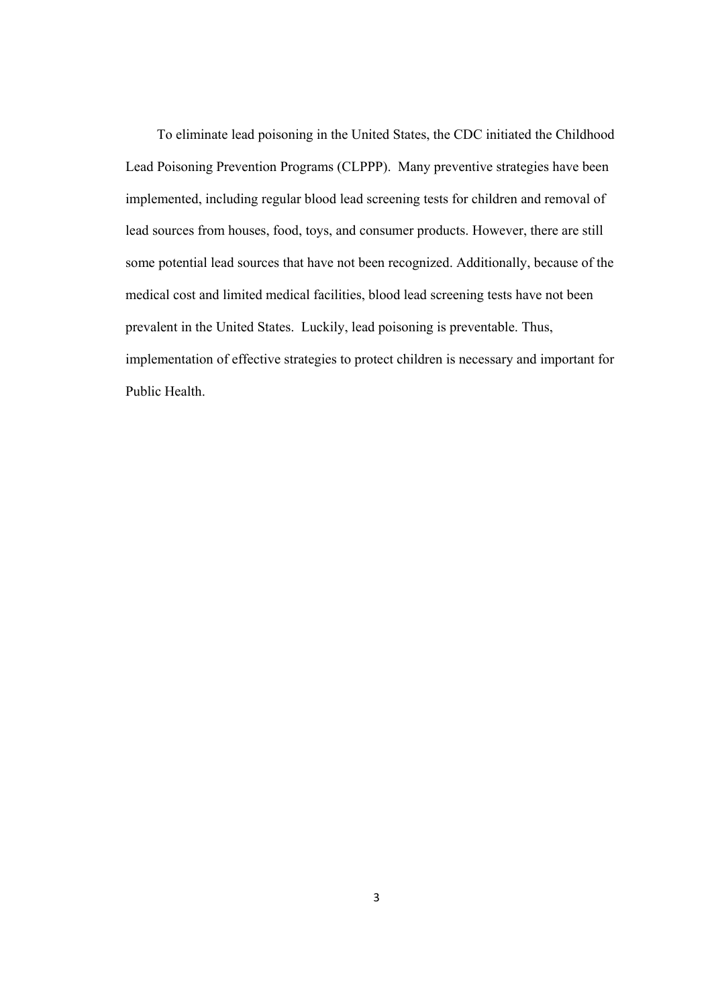To eliminate lead poisoning in the United States, the CDC initiated the Childhood Lead Poisoning Prevention Programs (CLPPP). Many preventive strategies have been implemented, including regular blood lead screening tests for children and removal of lead sources from houses, food, toys, and consumer products. However, there are still some potential lead sources that have not been recognized. Additionally, because of the medical cost and limited medical facilities, blood lead screening tests have not been prevalent in the United States. Luckily, lead poisoning is preventable. Thus, implementation of effective strategies to protect children is necessary and important for Public Health.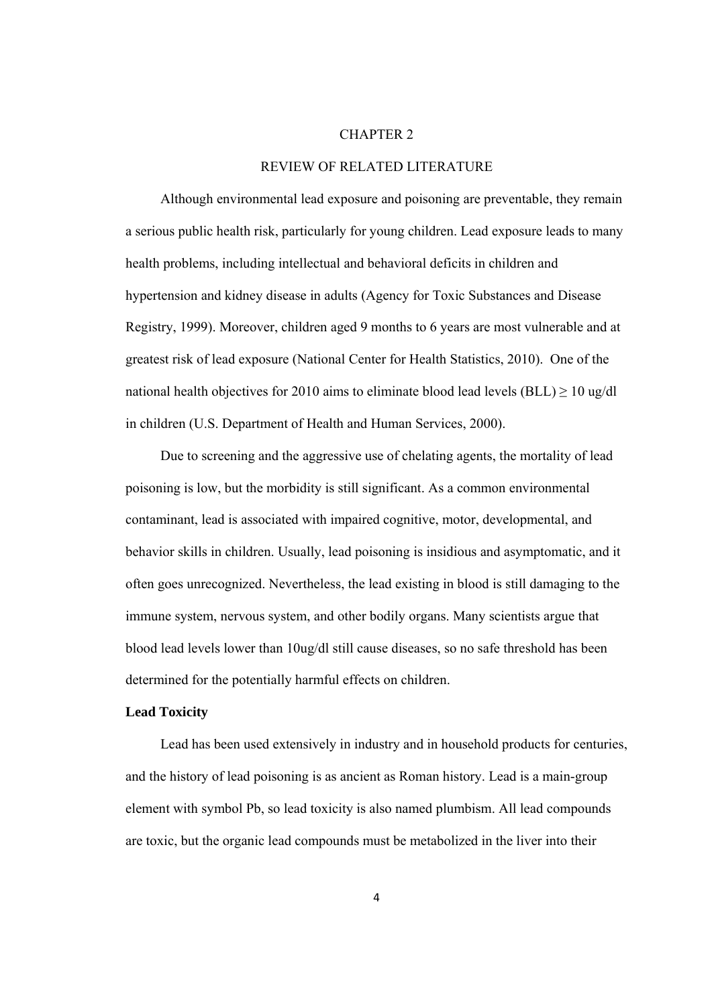#### CHAPTER 2

#### REVIEW OF RELATED LITERATURE

 Although environmental lead exposure and poisoning are preventable, they remain a serious public health risk, particularly for young children. Lead exposure leads to many health problems, including intellectual and behavioral deficits in children and hypertension and kidney disease in adults (Agency for Toxic Substances and Disease Registry, 1999). Moreover, children aged 9 months to 6 years are most vulnerable and at greatest risk of lead exposure (National Center for Health Statistics, 2010). One of the national health objectives for 2010 aims to eliminate blood lead levels (BLL)  $\geq$  10 ug/dl in children (U.S. Department of Health and Human Services, 2000).

 Due to screening and the aggressive use of chelating agents, the mortality of lead poisoning is low, but the morbidity is still significant. As a common environmental contaminant, lead is associated with impaired cognitive, motor, developmental, and behavior skills in children. Usually, lead poisoning is insidious and asymptomatic, and it often goes unrecognized. Nevertheless, the lead existing in blood is still damaging to the immune system, nervous system, and other bodily organs. Many scientists argue that blood lead levels lower than 10ug/dl still cause diseases, so no safe threshold has been determined for the potentially harmful effects on children.

#### **Lead Toxicity**

 Lead has been used extensively in industry and in household products for centuries, and the history of lead poisoning is as ancient as Roman history. Lead is a main-group element with symbol Pb, so lead toxicity is also named plumbism. All lead compounds are toxic, but the organic lead compounds must be metabolized in the liver into their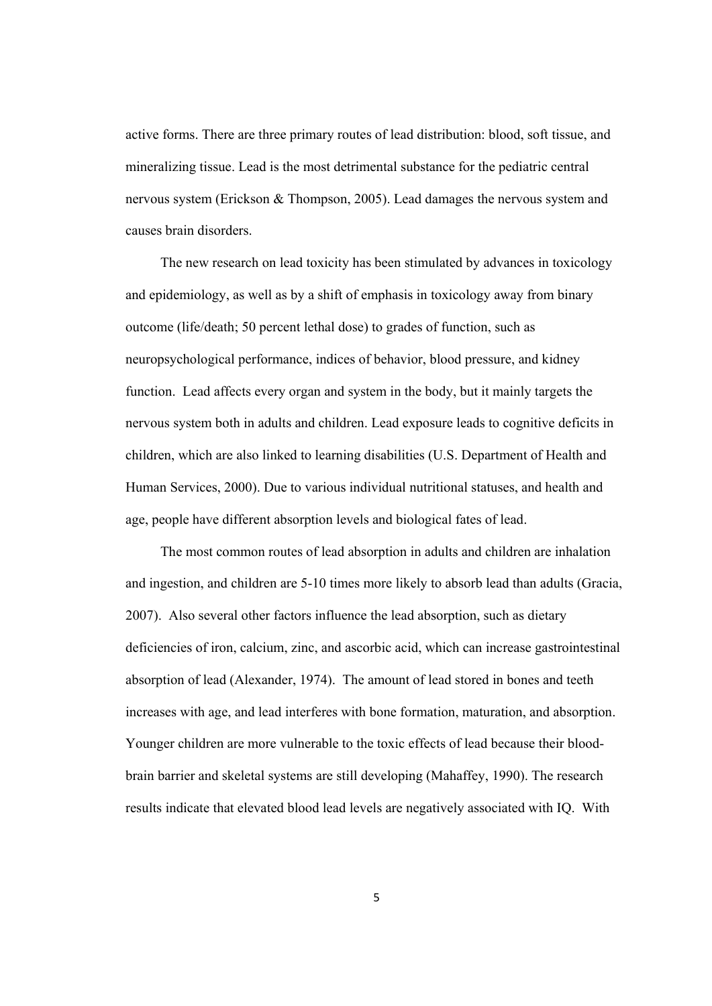active forms. There are three primary routes of lead distribution: blood, soft tissue, and mineralizing tissue. Lead is the most detrimental substance for the pediatric central nervous system (Erickson & Thompson, 2005). Lead damages the nervous system and causes brain disorders.

 The new research on lead toxicity has been stimulated by advances in toxicology and epidemiology, as well as by a shift of emphasis in toxicology away from binary outcome (life/death; 50 percent lethal dose) to grades of function, such as neuropsychological performance, indices of behavior, blood pressure, and kidney function. Lead affects every organ and system in the body, but it mainly targets the nervous system both in adults and children. Lead exposure leads to cognitive deficits in children, which are also linked to learning disabilities (U.S. Department of Health and Human Services, 2000). Due to various individual nutritional statuses, and health and age, people have different absorption levels and biological fates of lead.

 The most common routes of lead absorption in adults and children are inhalation and ingestion, and children are 5-10 times more likely to absorb lead than adults (Gracia, 2007). Also several other factors influence the lead absorption, such as dietary deficiencies of iron, calcium, zinc, and ascorbic acid, which can increase gastrointestinal absorption of lead (Alexander, 1974). The amount of lead stored in bones and teeth increases with age, and lead interferes with bone formation, maturation, and absorption. Younger children are more vulnerable to the toxic effects of lead because their bloodbrain barrier and skeletal systems are still developing (Mahaffey, 1990). The research results indicate that elevated blood lead levels are negatively associated with IQ. With

5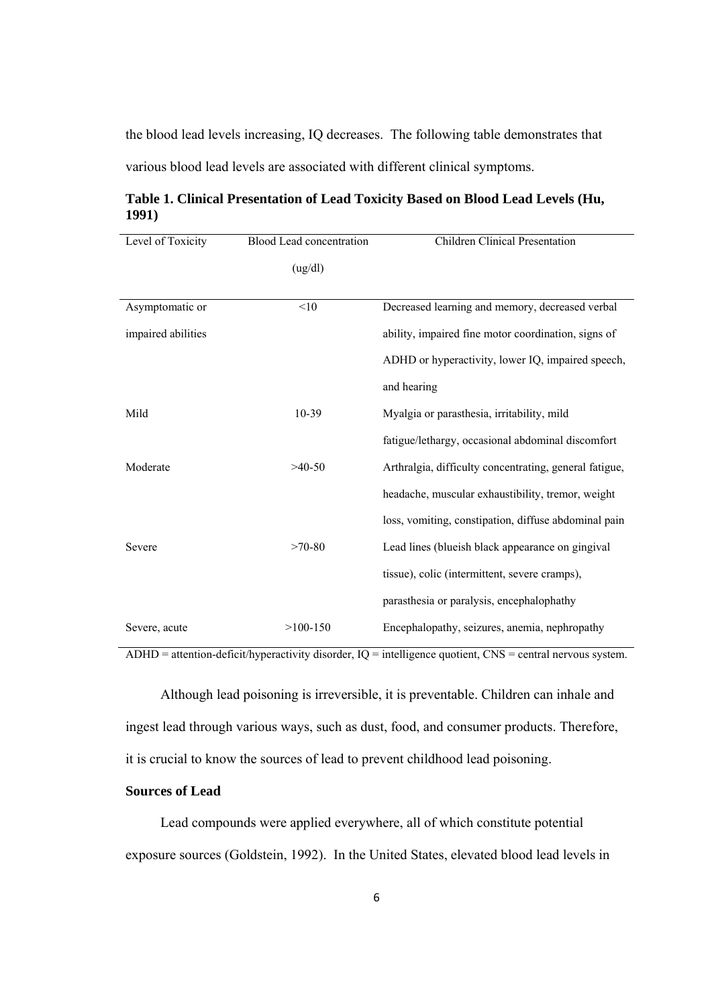the blood lead levels increasing, IQ decreases. The following table demonstrates that various blood lead levels are associated with different clinical symptoms.

**Table 1. Clinical Presentation of Lead Toxicity Based on Blood Lead Levels (Hu, 1991)** 

| Level of Toxicity  | Blood Lead concentration | Children Clinical Presentation                         |  |
|--------------------|--------------------------|--------------------------------------------------------|--|
|                    | (ug/dl)                  |                                                        |  |
|                    |                          |                                                        |  |
| Asymptomatic or    | <10                      | Decreased learning and memory, decreased verbal        |  |
| impaired abilities |                          | ability, impaired fine motor coordination, signs of    |  |
|                    |                          | ADHD or hyperactivity, lower IQ, impaired speech,      |  |
|                    |                          | and hearing                                            |  |
| Mild               | 10-39                    | Myalgia or parasthesia, irritability, mild             |  |
|                    |                          | fatigue/lethargy, occasional abdominal discomfort      |  |
| Moderate           | $>40-50$                 | Arthralgia, difficulty concentrating, general fatigue, |  |
|                    |                          | headache, muscular exhaustibility, tremor, weight      |  |
|                    |                          | loss, vomiting, constipation, diffuse abdominal pain   |  |
| Severe             | $>70-80$                 | Lead lines (blueish black appearance on gingival       |  |
|                    |                          | tissue), colic (intermittent, severe cramps),          |  |
|                    |                          | parasthesia or paralysis, encephalophathy              |  |
| Severe, acute      | $>100-150$               | Encephalopathy, seizures, anemia, nephropathy          |  |

 $ADHD = attention-deficit/hyperactivity disorder, IQ = intelligence quotient, CMS = central nervous system.$ 

 Although lead poisoning is irreversible, it is preventable. Children can inhale and ingest lead through various ways, such as dust, food, and consumer products. Therefore, it is crucial to know the sources of lead to prevent childhood lead poisoning.

#### **Sources of Lead**

 Lead compounds were applied everywhere, all of which constitute potential exposure sources (Goldstein, 1992). In the United States, elevated blood lead levels in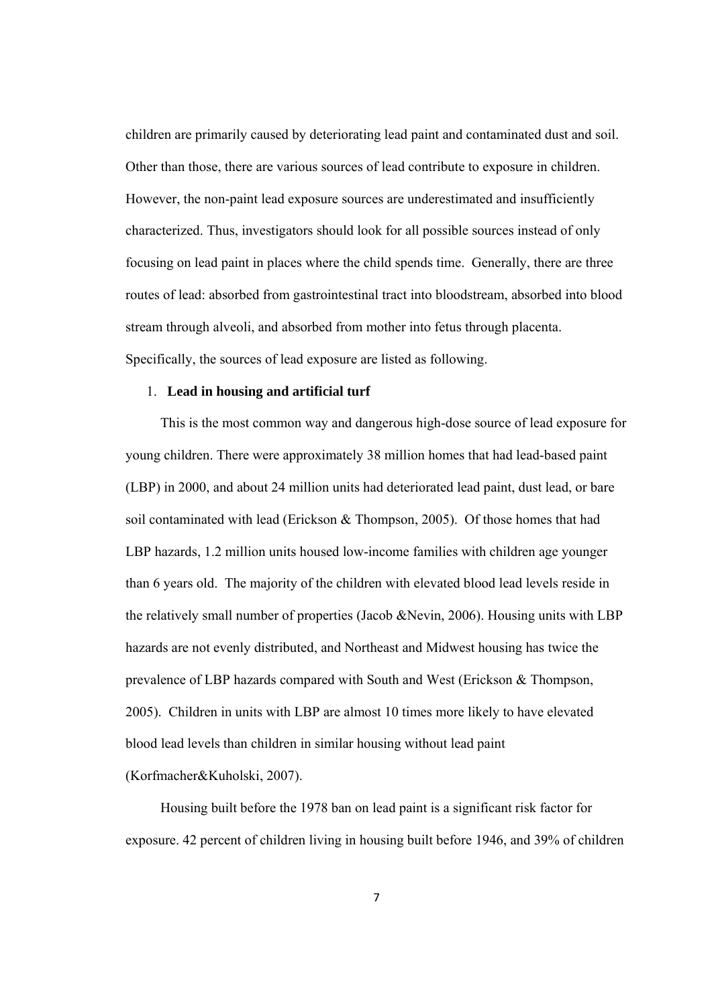children are primarily caused by deteriorating lead paint and contaminated dust and soil. Other than those, there are various sources of lead contribute to exposure in children. However, the non-paint lead exposure sources are underestimated and insufficiently characterized. Thus, investigators should look for all possible sources instead of only focusing on lead paint in places where the child spends time. Generally, there are three routes of lead: absorbed from gastrointestinal tract into bloodstream, absorbed into blood stream through alveoli, and absorbed from mother into fetus through placenta. Specifically, the sources of lead exposure are listed as following.

#### 1. **Lead in housing and artificial turf**

 This is the most common way and dangerous high-dose source of lead exposure for young children. There were approximately 38 million homes that had lead-based paint (LBP) in 2000, and about 24 million units had deteriorated lead paint, dust lead, or bare soil contaminated with lead (Erickson & Thompson, 2005). Of those homes that had LBP hazards, 1.2 million units housed low-income families with children age younger than 6 years old. The majority of the children with elevated blood lead levels reside in the relatively small number of properties (Jacob &Nevin, 2006). Housing units with LBP hazards are not evenly distributed, and Northeast and Midwest housing has twice the prevalence of LBP hazards compared with South and West (Erickson & Thompson, 2005). Children in units with LBP are almost 10 times more likely to have elevated blood lead levels than children in similar housing without lead paint

(Korfmacher&Kuholski, 2007).

 Housing built before the 1978 ban on lead paint is a significant risk factor for exposure. 42 percent of children living in housing built before 1946, and 39% of children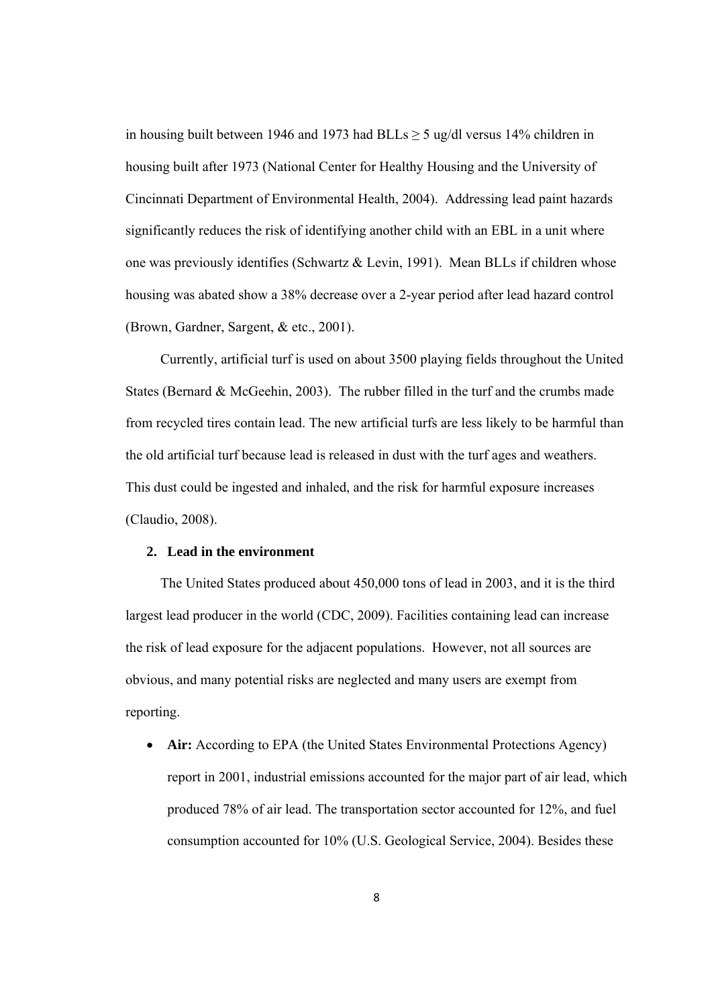in housing built between 1946 and 1973 had BLLs  $\geq$  5 ug/dl versus 14% children in housing built after 1973 (National Center for Healthy Housing and the University of Cincinnati Department of Environmental Health, 2004). Addressing lead paint hazards significantly reduces the risk of identifying another child with an EBL in a unit where one was previously identifies (Schwartz & Levin, 1991). Mean BLLs if children whose housing was abated show a 38% decrease over a 2-year period after lead hazard control (Brown, Gardner, Sargent, & etc., 2001).

 Currently, artificial turf is used on about 3500 playing fields throughout the United States (Bernard & McGeehin, 2003). The rubber filled in the turf and the crumbs made from recycled tires contain lead. The new artificial turfs are less likely to be harmful than the old artificial turf because lead is released in dust with the turf ages and weathers. This dust could be ingested and inhaled, and the risk for harmful exposure increases (Claudio, 2008).

#### **2. Lead in the environment**

 The United States produced about 450,000 tons of lead in 2003, and it is the third largest lead producer in the world (CDC, 2009). Facilities containing lead can increase the risk of lead exposure for the adjacent populations. However, not all sources are obvious, and many potential risks are neglected and many users are exempt from reporting.

• **Air:** According to EPA (the United States Environmental Protections Agency) report in 2001, industrial emissions accounted for the major part of air lead, which produced 78% of air lead. The transportation sector accounted for 12%, and fuel consumption accounted for 10% (U.S. Geological Service, 2004). Besides these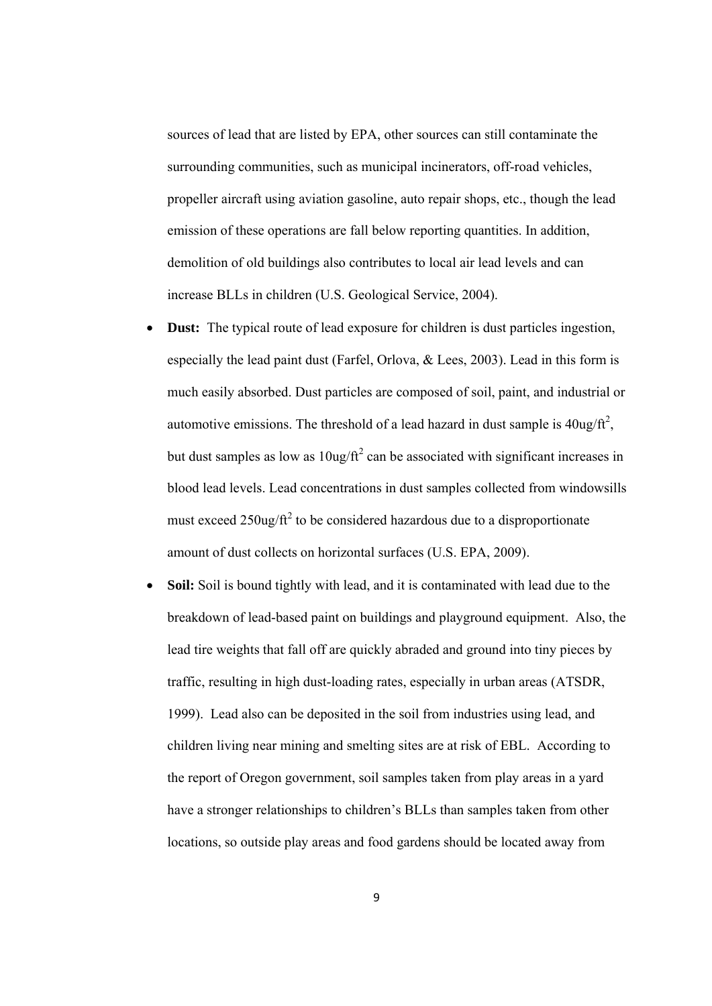sources of lead that are listed by EPA, other sources can still contaminate the surrounding communities, such as municipal incinerators, off-road vehicles, propeller aircraft using aviation gasoline, auto repair shops, etc., though the lead emission of these operations are fall below reporting quantities. In addition, demolition of old buildings also contributes to local air lead levels and can increase BLLs in children (U.S. Geological Service, 2004).

- **Dust:** The typical route of lead exposure for children is dust particles ingestion, especially the lead paint dust (Farfel, Orlova, & Lees, 2003). Lead in this form is much easily absorbed. Dust particles are composed of soil, paint, and industrial or automotive emissions. The threshold of a lead hazard in dust sample is  $40\frac{\text{u}}{\text{s}}$ , but dust samples as low as  $10$ ug/ft<sup>2</sup> can be associated with significant increases in blood lead levels. Lead concentrations in dust samples collected from windowsills must exceed  $250$ ug/ft<sup>2</sup> to be considered hazardous due to a disproportionate amount of dust collects on horizontal surfaces (U.S. EPA, 2009).
- **Soil:** Soil is bound tightly with lead, and it is contaminated with lead due to the breakdown of lead-based paint on buildings and playground equipment. Also, the lead tire weights that fall off are quickly abraded and ground into tiny pieces by traffic, resulting in high dust-loading rates, especially in urban areas (ATSDR, 1999). Lead also can be deposited in the soil from industries using lead, and children living near mining and smelting sites are at risk of EBL. According to the report of Oregon government, soil samples taken from play areas in a yard have a stronger relationships to children's BLLs than samples taken from other locations, so outside play areas and food gardens should be located away from

9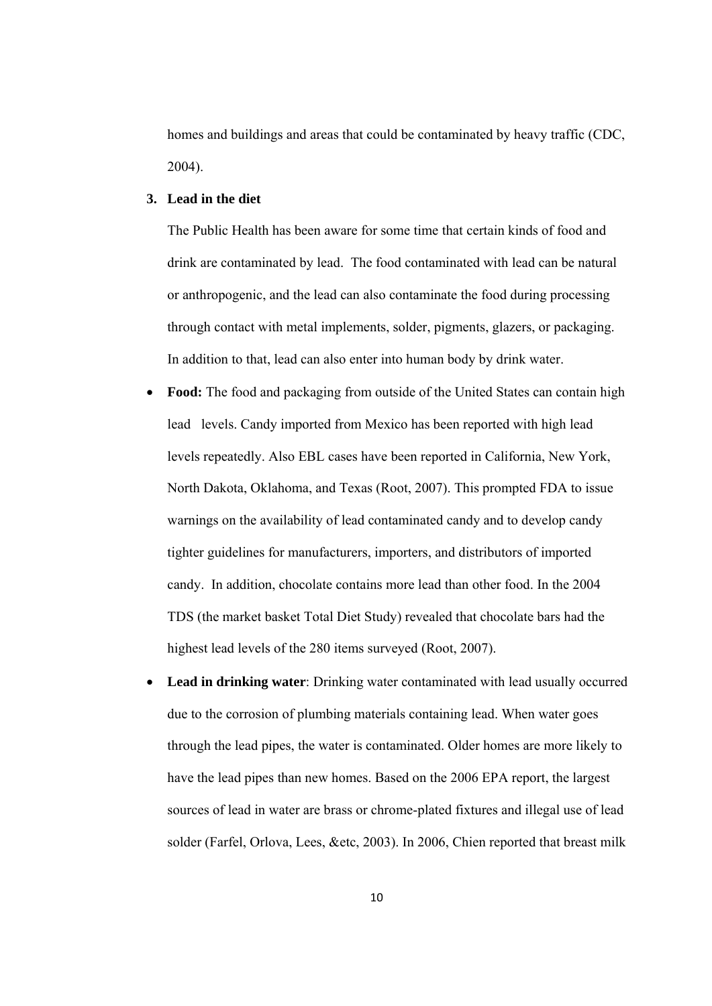homes and buildings and areas that could be contaminated by heavy traffic (CDC, 2004).

#### **3. Lead in the diet**

The Public Health has been aware for some time that certain kinds of food and drink are contaminated by lead. The food contaminated with lead can be natural or anthropogenic, and the lead can also contaminate the food during processing through contact with metal implements, solder, pigments, glazers, or packaging. In addition to that, lead can also enter into human body by drink water.

- **Food:** The food and packaging from outside of the United States can contain high lead levels. Candy imported from Mexico has been reported with high lead levels repeatedly. Also EBL cases have been reported in California, New York, North Dakota, Oklahoma, and Texas (Root, 2007). This prompted FDA to issue warnings on the availability of lead contaminated candy and to develop candy tighter guidelines for manufacturers, importers, and distributors of imported candy. In addition, chocolate contains more lead than other food. In the 2004 TDS (the market basket Total Diet Study) revealed that chocolate bars had the highest lead levels of the 280 items surveyed (Root, 2007).
- **Lead in drinking water**: Drinking water contaminated with lead usually occurred due to the corrosion of plumbing materials containing lead. When water goes through the lead pipes, the water is contaminated. Older homes are more likely to have the lead pipes than new homes. Based on the 2006 EPA report, the largest sources of lead in water are brass or chrome-plated fixtures and illegal use of lead solder (Farfel, Orlova, Lees, &etc, 2003). In 2006, Chien reported that breast milk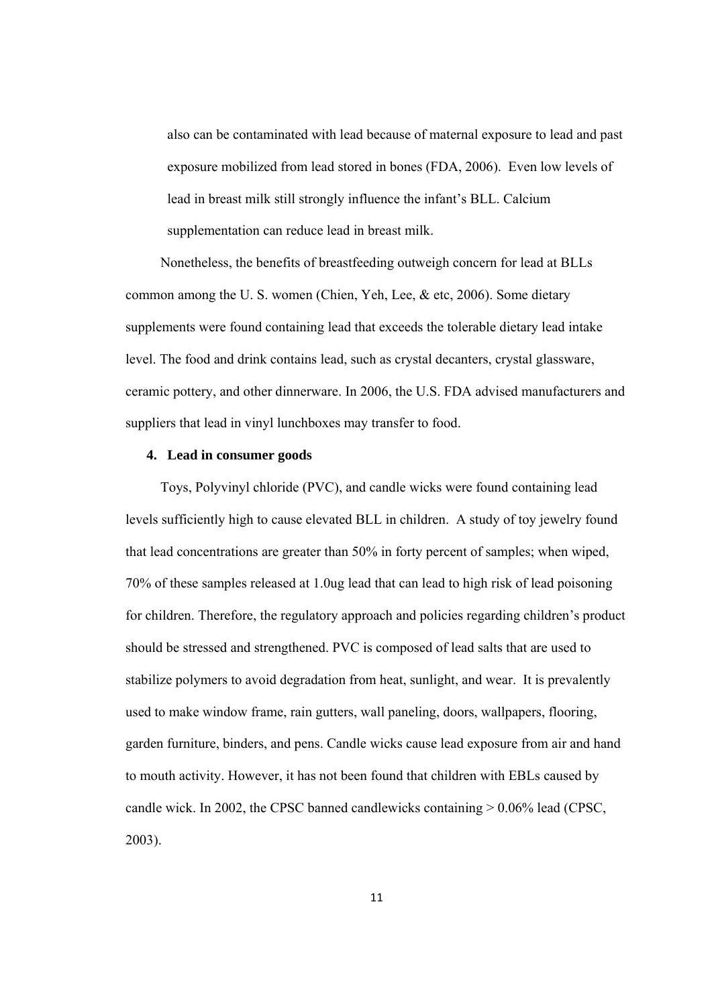also can be contaminated with lead because of maternal exposure to lead and past exposure mobilized from lead stored in bones (FDA, 2006). Even low levels of lead in breast milk still strongly influence the infant's BLL. Calcium supplementation can reduce lead in breast milk.

 Nonetheless, the benefits of breastfeeding outweigh concern for lead at BLLs common among the U. S. women (Chien, Yeh, Lee, & etc, 2006). Some dietary supplements were found containing lead that exceeds the tolerable dietary lead intake level. The food and drink contains lead, such as crystal decanters, crystal glassware, ceramic pottery, and other dinnerware. In 2006, the U.S. FDA advised manufacturers and suppliers that lead in vinyl lunchboxes may transfer to food.

#### **4. Lead in consumer goods**

 Toys, Polyvinyl chloride (PVC), and candle wicks were found containing lead levels sufficiently high to cause elevated BLL in children. A study of toy jewelry found that lead concentrations are greater than 50% in forty percent of samples; when wiped, 70% of these samples released at 1.0ug lead that can lead to high risk of lead poisoning for children. Therefore, the regulatory approach and policies regarding children's product should be stressed and strengthened. PVC is composed of lead salts that are used to stabilize polymers to avoid degradation from heat, sunlight, and wear. It is prevalently used to make window frame, rain gutters, wall paneling, doors, wallpapers, flooring, garden furniture, binders, and pens. Candle wicks cause lead exposure from air and hand to mouth activity. However, it has not been found that children with EBLs caused by candle wick. In 2002, the CPSC banned candlewicks containing  $> 0.06\%$  lead (CPSC, 2003).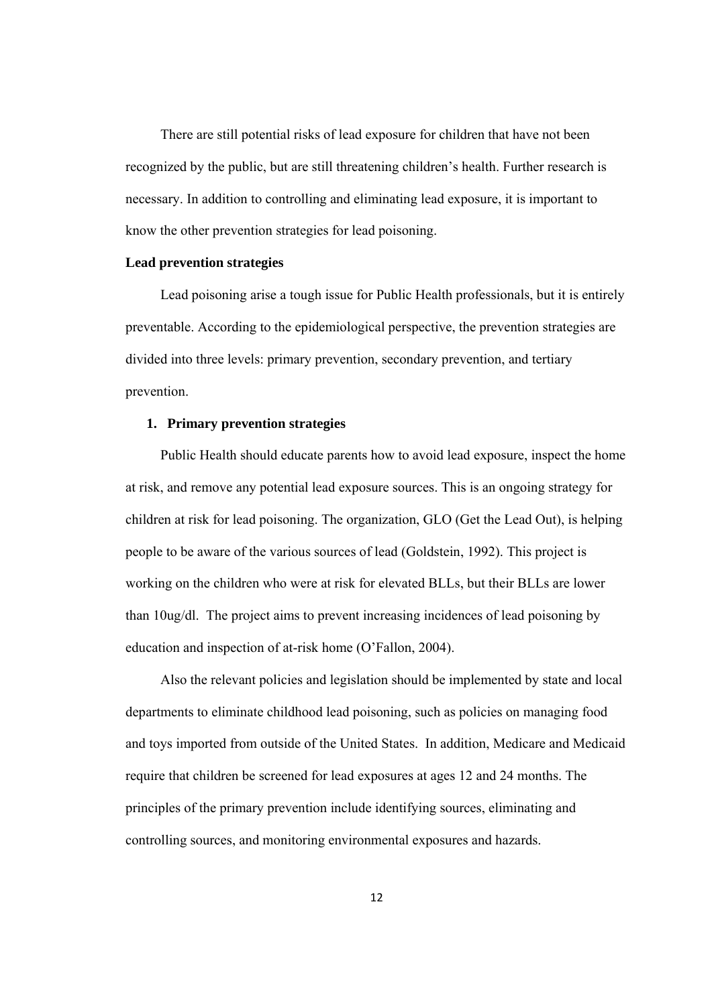There are still potential risks of lead exposure for children that have not been recognized by the public, but are still threatening children's health. Further research is necessary. In addition to controlling and eliminating lead exposure, it is important to know the other prevention strategies for lead poisoning.

#### **Lead prevention strategies**

 Lead poisoning arise a tough issue for Public Health professionals, but it is entirely preventable. According to the epidemiological perspective, the prevention strategies are divided into three levels: primary prevention, secondary prevention, and tertiary prevention.

#### **1. Primary prevention strategies**

 Public Health should educate parents how to avoid lead exposure, inspect the home at risk, and remove any potential lead exposure sources. This is an ongoing strategy for children at risk for lead poisoning. The organization, GLO (Get the Lead Out), is helping people to be aware of the various sources of lead (Goldstein, 1992). This project is working on the children who were at risk for elevated BLLs, but their BLLs are lower than 10ug/dl. The project aims to prevent increasing incidences of lead poisoning by education and inspection of at-risk home (O'Fallon, 2004).

 Also the relevant policies and legislation should be implemented by state and local departments to eliminate childhood lead poisoning, such as policies on managing food and toys imported from outside of the United States. In addition, Medicare and Medicaid require that children be screened for lead exposures at ages 12 and 24 months. The principles of the primary prevention include identifying sources, eliminating and controlling sources, and monitoring environmental exposures and hazards.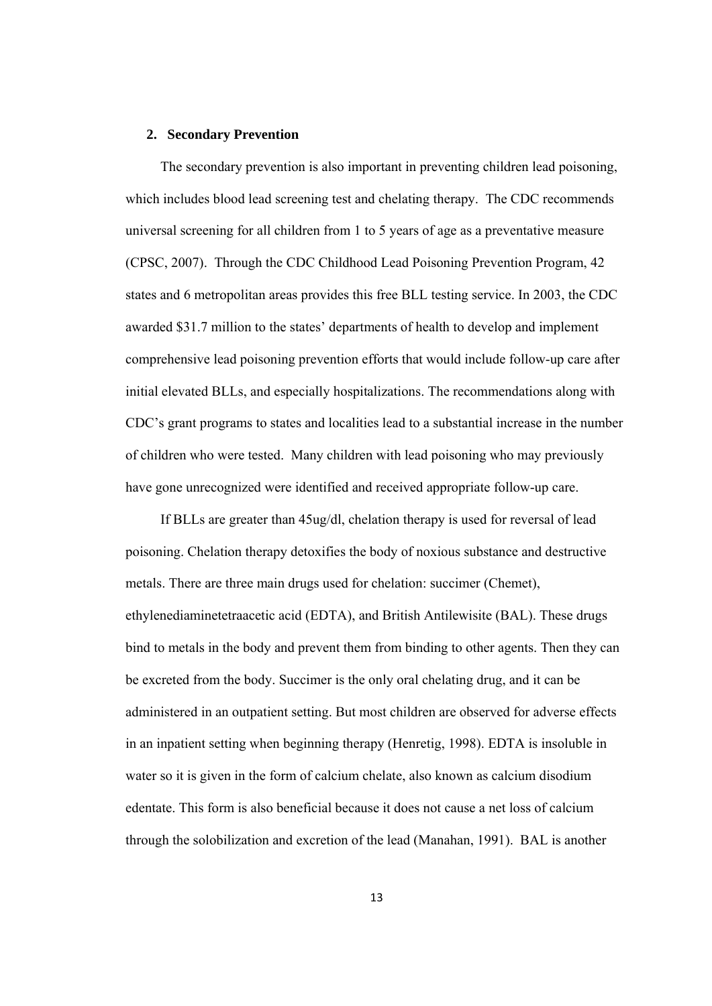#### **2. Secondary Prevention**

 The secondary prevention is also important in preventing children lead poisoning, which includes blood lead screening test and chelating therapy. The CDC recommends universal screening for all children from 1 to 5 years of age as a preventative measure (CPSC, 2007). Through the CDC Childhood Lead Poisoning Prevention Program, 42 states and 6 metropolitan areas provides this free BLL testing service. In 2003, the CDC awarded \$31.7 million to the states' departments of health to develop and implement comprehensive lead poisoning prevention efforts that would include follow-up care after initial elevated BLLs, and especially hospitalizations. The recommendations along with CDC's grant programs to states and localities lead to a substantial increase in the number of children who were tested. Many children with lead poisoning who may previously have gone unrecognized were identified and received appropriate follow-up care.

 If BLLs are greater than 45ug/dl, chelation therapy is used for reversal of lead poisoning. Chelation therapy detoxifies the body of noxious substance and destructive metals. There are three main drugs used for chelation: succimer (Chemet), ethylenediaminetetraacetic acid (EDTA), and British Antilewisite (BAL). These drugs bind to metals in the body and prevent them from binding to other agents. Then they can be excreted from the body. Succimer is the only oral chelating drug, and it can be administered in an outpatient setting. But most children are observed for adverse effects in an inpatient setting when beginning therapy (Henretig, 1998). EDTA is insoluble in water so it is given in the form of calcium chelate, also known as calcium disodium edentate. This form is also beneficial because it does not cause a net loss of calcium through the solobilization and excretion of the lead (Manahan, 1991). BAL is another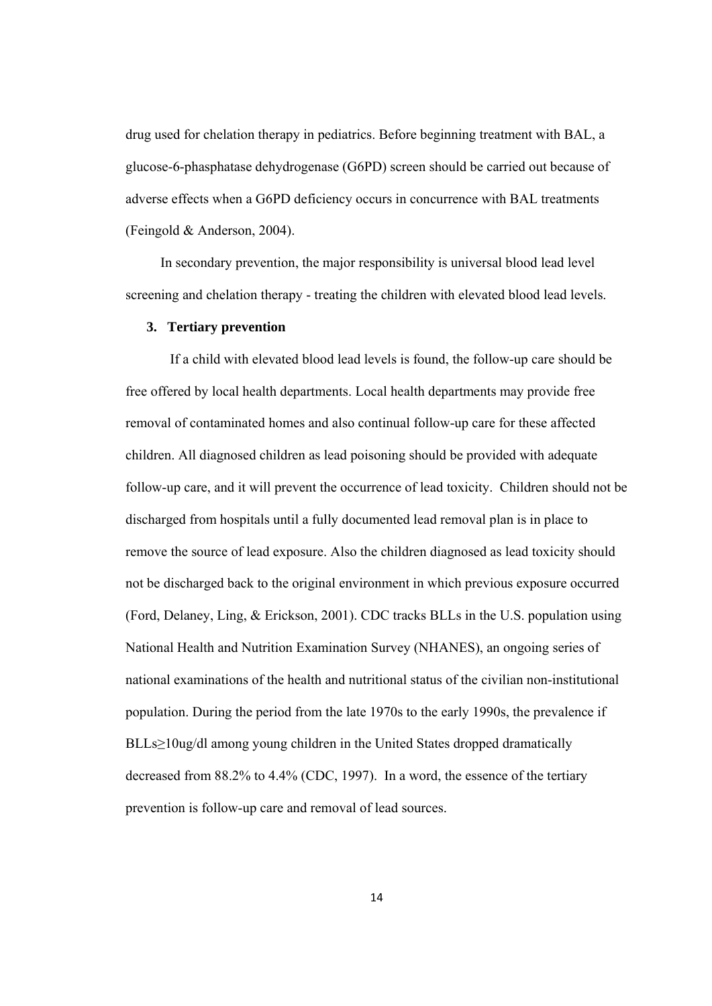drug used for chelation therapy in pediatrics. Before beginning treatment with BAL, a glucose-6-phasphatase dehydrogenase (G6PD) screen should be carried out because of adverse effects when a G6PD deficiency occurs in concurrence with BAL treatments (Feingold & Anderson, 2004).

 In secondary prevention, the major responsibility is universal blood lead level screening and chelation therapy - treating the children with elevated blood lead levels.

#### **3. Tertiary prevention**

If a child with elevated blood lead levels is found, the follow-up care should be free offered by local health departments. Local health departments may provide free removal of contaminated homes and also continual follow-up care for these affected children. All diagnosed children as lead poisoning should be provided with adequate follow-up care, and it will prevent the occurrence of lead toxicity. Children should not be discharged from hospitals until a fully documented lead removal plan is in place to remove the source of lead exposure. Also the children diagnosed as lead toxicity should not be discharged back to the original environment in which previous exposure occurred (Ford, Delaney, Ling, & Erickson, 2001). CDC tracks BLLs in the U.S. population using National Health and Nutrition Examination Survey (NHANES), an ongoing series of national examinations of the health and nutritional status of the civilian non-institutional population. During the period from the late 1970s to the early 1990s, the prevalence if BLLs≥10ug/dl among young children in the United States dropped dramatically decreased from 88.2% to 4.4% (CDC, 1997). In a word, the essence of the tertiary prevention is follow-up care and removal of lead sources.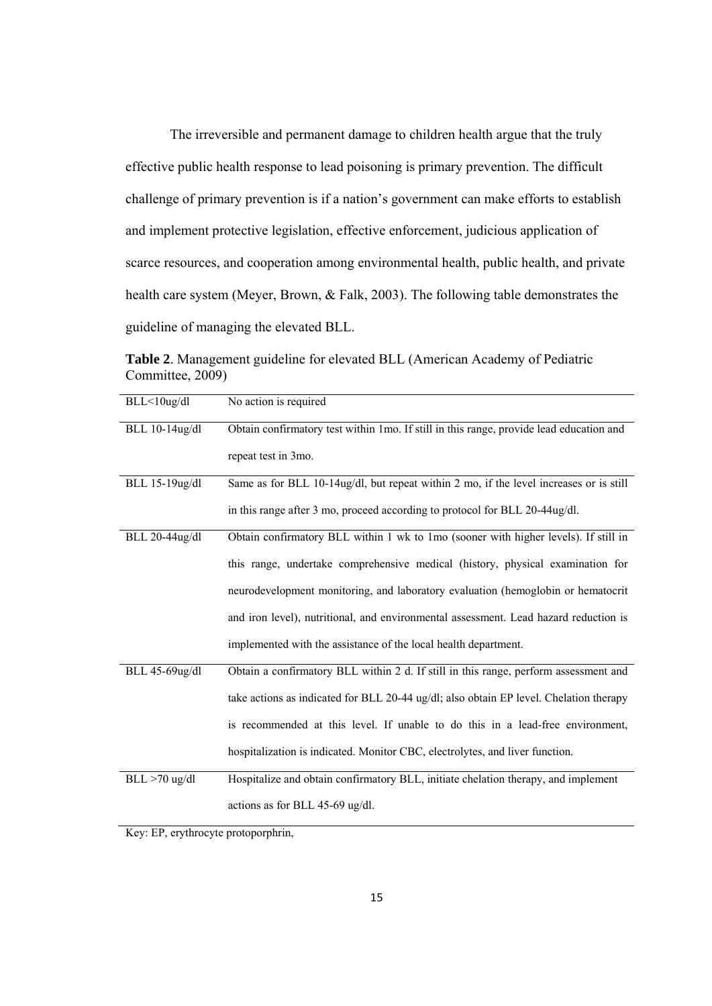The irreversible and permanent damage to children health argue that the truly effective public health response to lead poisoning is primary prevention. The difficult challenge of primary prevention is if a nation's government can make efforts to establish and implement protective legislation, effective enforcement, judicious application of scarce resources, and cooperation among environmental health, public health, and private health care system (Meyer, Brown, & Falk, 2003). The following table demonstrates the guideline of managing the elevated BLL.

**Table 2**. Management guideline for elevated BLL (American Academy of Pediatric Committee, 2009)

| BLL<10ug/dl      | No action is required                                                                   |
|------------------|-----------------------------------------------------------------------------------------|
| BLL 10-14ug/dl   | Obtain confirmatory test within 1mo. If still in this range, provide lead education and |
|                  | repeat test in 3mo.                                                                     |
| BLL 15-19ug/dl   | Same as for BLL 10-14ug/dl, but repeat within 2 mo, if the level increases or is still  |
|                  | in this range after 3 mo, proceed according to protocol for BLL 20-44ug/dl.             |
| BLL 20-44ug/dl   | Obtain confirmatory BLL within 1 wk to 1mo (sooner with higher levels). If still in     |
|                  | this range, undertake comprehensive medical (history, physical examination for          |
|                  | neurodevelopment monitoring, and laboratory evaluation (hemoglobin or hematocrit        |
|                  | and iron level), nutritional, and environmental assessment. Lead hazard reduction is    |
|                  | implemented with the assistance of the local health department.                         |
| BLL 45-69ug/dl   | Obtain a confirmatory BLL within 2 d. If still in this range, perform assessment and    |
|                  | take actions as indicated for BLL 20-44 ug/dl; also obtain EP level. Chelation therapy  |
|                  | is recommended at this level. If unable to do this in a lead-free environment,          |
|                  | hospitalization is indicated. Monitor CBC, electrolytes, and liver function.            |
| $BLL > 70$ ug/dl | Hospitalize and obtain confirmatory BLL, initiate chelation therapy, and implement      |
|                  | actions as for BLL 45-69 ug/dl.                                                         |

Key: EP, erythrocyte protoporphrin,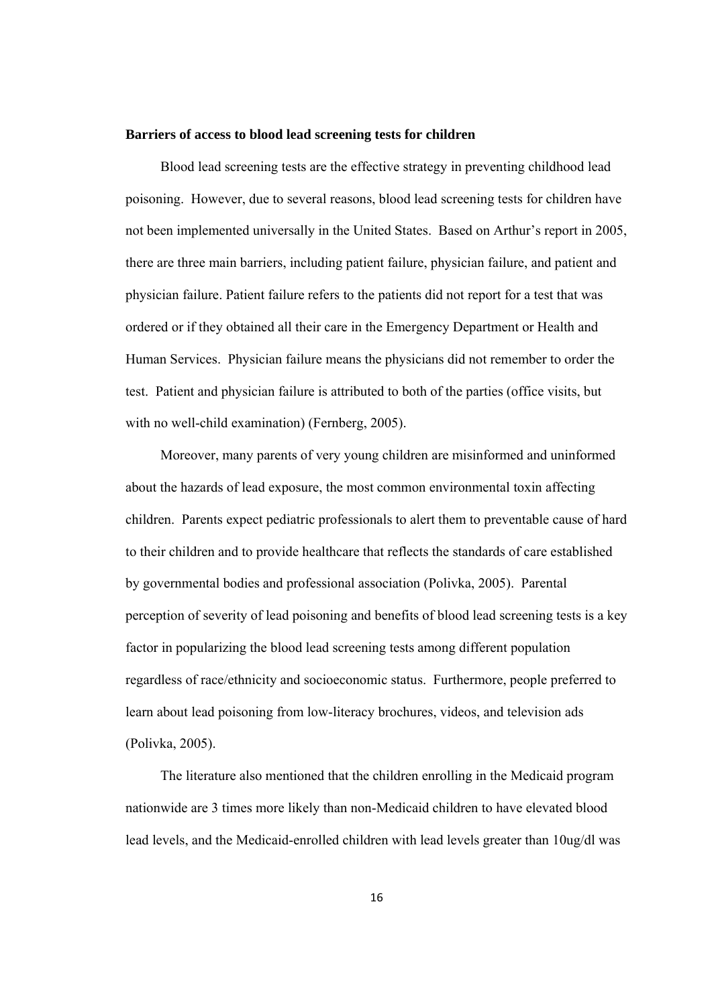#### **Barriers of access to blood lead screening tests for children**

 Blood lead screening tests are the effective strategy in preventing childhood lead poisoning. However, due to several reasons, blood lead screening tests for children have not been implemented universally in the United States. Based on Arthur's report in 2005, there are three main barriers, including patient failure, physician failure, and patient and physician failure. Patient failure refers to the patients did not report for a test that was ordered or if they obtained all their care in the Emergency Department or Health and Human Services. Physician failure means the physicians did not remember to order the test. Patient and physician failure is attributed to both of the parties (office visits, but with no well-child examination) (Fernberg, 2005).

 Moreover, many parents of very young children are misinformed and uninformed about the hazards of lead exposure, the most common environmental toxin affecting children. Parents expect pediatric professionals to alert them to preventable cause of hard to their children and to provide healthcare that reflects the standards of care established by governmental bodies and professional association (Polivka, 2005). Parental perception of severity of lead poisoning and benefits of blood lead screening tests is a key factor in popularizing the blood lead screening tests among different population regardless of race/ethnicity and socioeconomic status. Furthermore, people preferred to learn about lead poisoning from low-literacy brochures, videos, and television ads (Polivka, 2005).

 The literature also mentioned that the children enrolling in the Medicaid program nationwide are 3 times more likely than non-Medicaid children to have elevated blood lead levels, and the Medicaid-enrolled children with lead levels greater than 10ug/dl was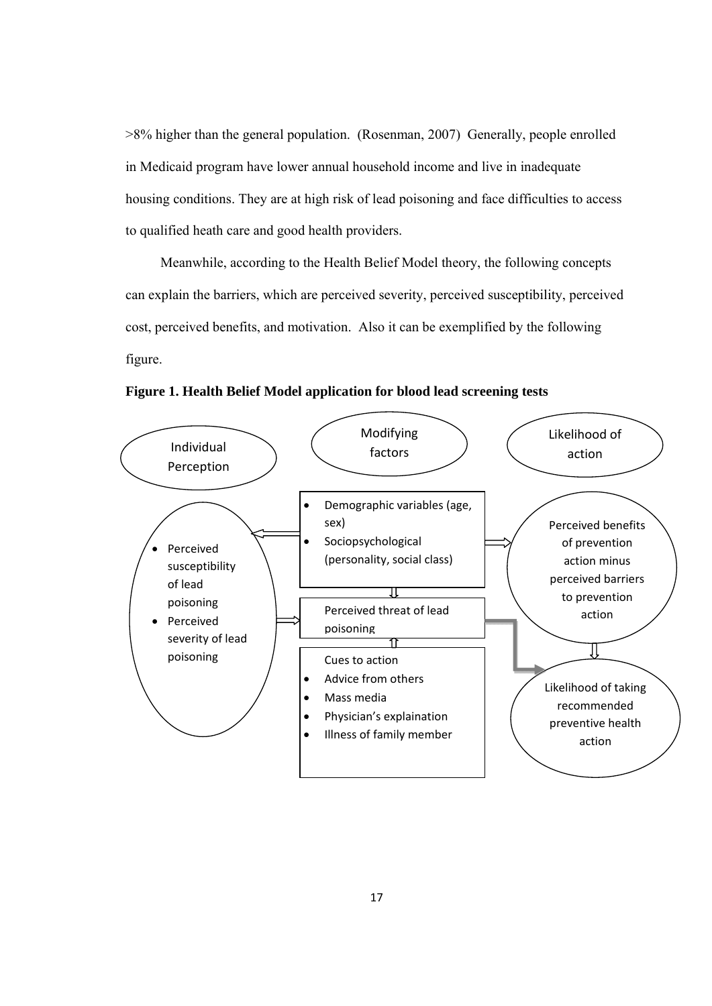>8% higher than the general population. (Rosenman, 2007) Generally, people enrolled in Medicaid program have lower annual household income and live in inadequate housing conditions. They are at high risk of lead poisoning and face difficulties to access to qualified heath care and good health providers.

 Meanwhile, according to the Health Belief Model theory, the following concepts can explain the barriers, which are perceived severity, perceived susceptibility, perceived cost, perceived benefits, and motivation. Also it can be exemplified by the following figure.

**Figure 1. Health Belief Model application for blood lead screening tests** 

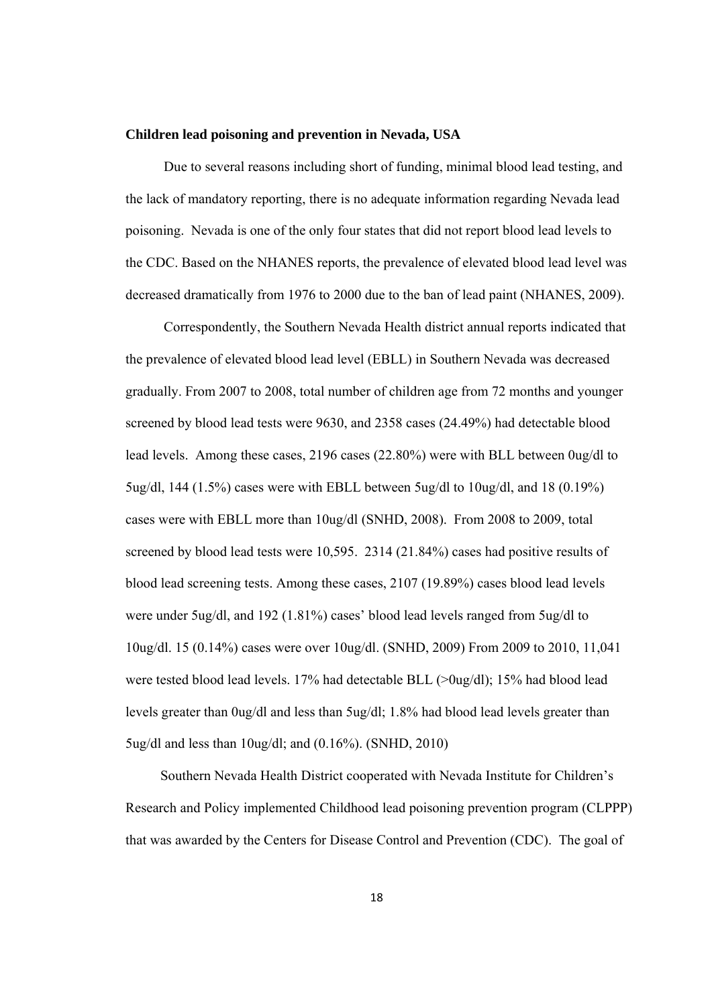#### **Children lead poisoning and prevention in Nevada, USA**

 Due to several reasons including short of funding, minimal blood lead testing, and the lack of mandatory reporting, there is no adequate information regarding Nevada lead poisoning. Nevada is one of the only four states that did not report blood lead levels to the CDC. Based on the NHANES reports, the prevalence of elevated blood lead level was decreased dramatically from 1976 to 2000 due to the ban of lead paint (NHANES, 2009).

 Correspondently, the Southern Nevada Health district annual reports indicated that the prevalence of elevated blood lead level (EBLL) in Southern Nevada was decreased gradually. From 2007 to 2008, total number of children age from 72 months and younger screened by blood lead tests were 9630, and 2358 cases (24.49%) had detectable blood lead levels. Among these cases, 2196 cases (22.80%) were with BLL between 0ug/dl to 5ug/dl, 144 (1.5%) cases were with EBLL between 5ug/dl to 10ug/dl, and 18 (0.19%) cases were with EBLL more than 10ug/dl (SNHD, 2008). From 2008 to 2009, total screened by blood lead tests were 10,595. 2314 (21.84%) cases had positive results of blood lead screening tests. Among these cases, 2107 (19.89%) cases blood lead levels were under 5ug/dl, and 192 (1.81%) cases' blood lead levels ranged from 5ug/dl to 10ug/dl. 15 (0.14%) cases were over 10ug/dl. (SNHD, 2009) From 2009 to 2010, 11,041 were tested blood lead levels. 17% had detectable BLL (>0ug/dl); 15% had blood lead levels greater than 0ug/dl and less than 5ug/dl; 1.8% had blood lead levels greater than 5ug/dl and less than 10ug/dl; and (0.16%). (SNHD, 2010)

 Southern Nevada Health District cooperated with Nevada Institute for Children's Research and Policy implemented Childhood lead poisoning prevention program (CLPPP) that was awarded by the Centers for Disease Control and Prevention (CDC). The goal of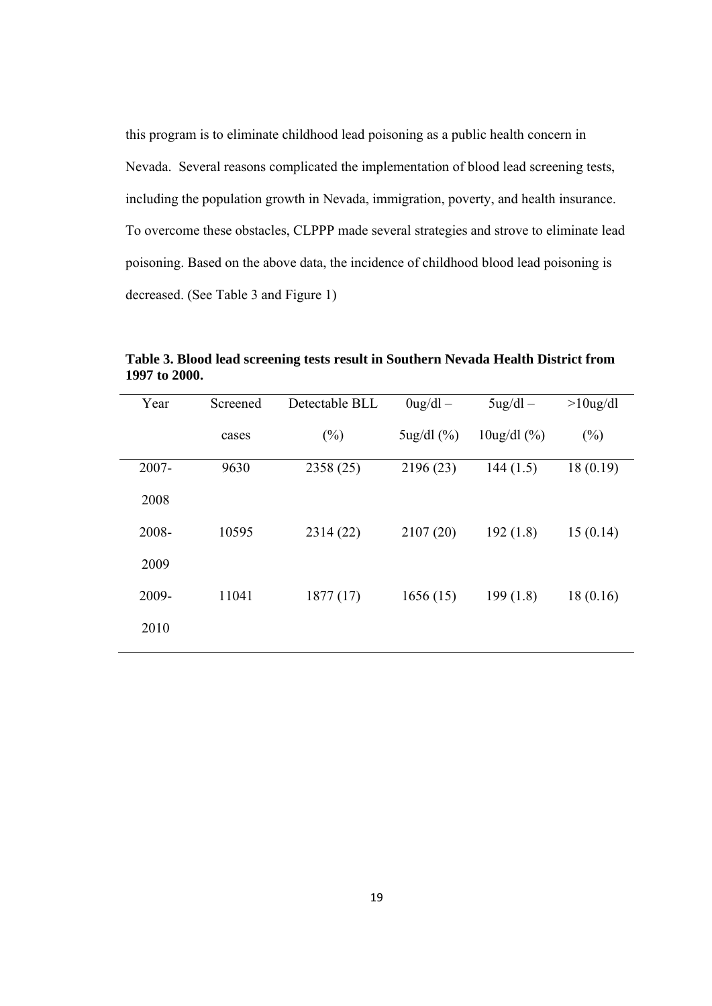this program is to eliminate childhood lead poisoning as a public health concern in Nevada. Several reasons complicated the implementation of blood lead screening tests, including the population growth in Nevada, immigration, poverty, and health insurance. To overcome these obstacles, CLPPP made several strategies and strove to eliminate lead poisoning. Based on the above data, the incidence of childhood blood lead poisoning is decreased. (See Table 3 and Figure 1)

| Year     | Screened | Detectable BLL | $0$ ug/dl $-$   | $5\text{ug}/\text{dl}$ –            | $>10$ ug/dl |
|----------|----------|----------------|-----------------|-------------------------------------|-------------|
|          | cases    | $(\%)$         | $5$ ug/dl $(%)$ | $10\frac{\text{u}g}{\text{d}l}$ (%) | $(\%)$      |
| $2007 -$ | 9630     | 2358 (25)      | 2196 (23)       | 144(1.5)                            | 18(0.19)    |
| 2008     |          |                |                 |                                     |             |
| 2008-    | 10595    | 2314 (22)      | 2107(20)        | 192(1.8)                            | 15(0.14)    |
| 2009     |          |                |                 |                                     |             |
| 2009-    | 11041    | 1877(17)       | 1656(15)        | 199(1.8)                            | 18(0.16)    |
| 2010     |          |                |                 |                                     |             |
|          |          |                |                 |                                     |             |

**Table 3. Blood lead screening tests result in Southern Nevada Health District from 1997 to 2000.**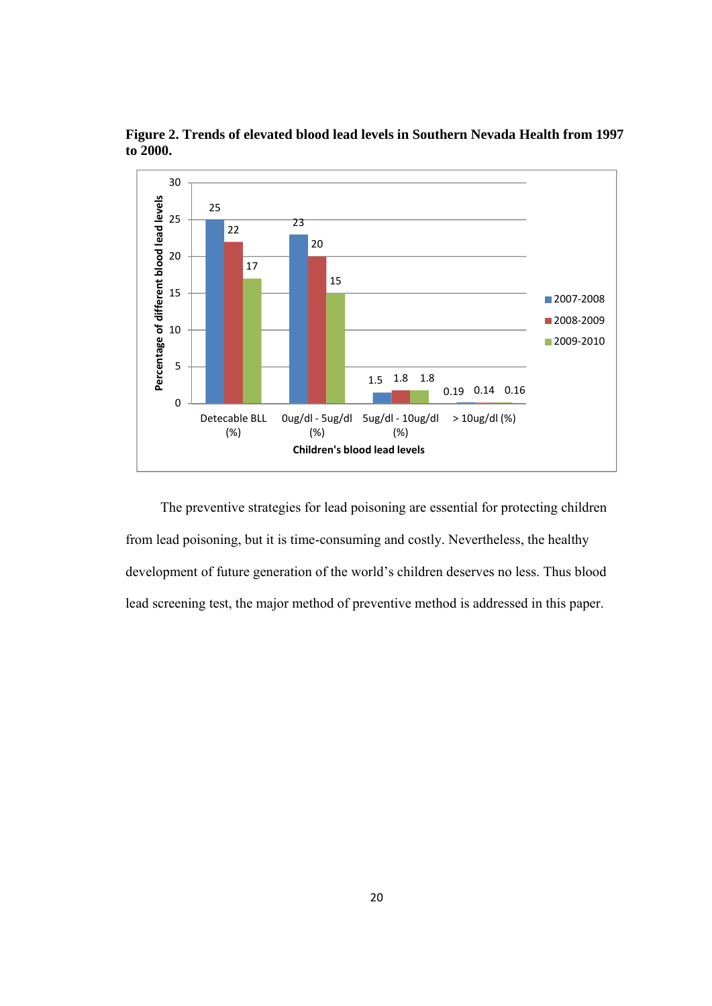

**Figure 2. Trends of elevated blood lead levels in Southern Nevada Health from 1997 to 2000.** 

 The preventive strategies for lead poisoning are essential for protecting children from lead poisoning, but it is time-consuming and costly. Nevertheless, the healthy development of future generation of the world's children deserves no less. Thus blood lead screening test, the major method of preventive method is addressed in this paper.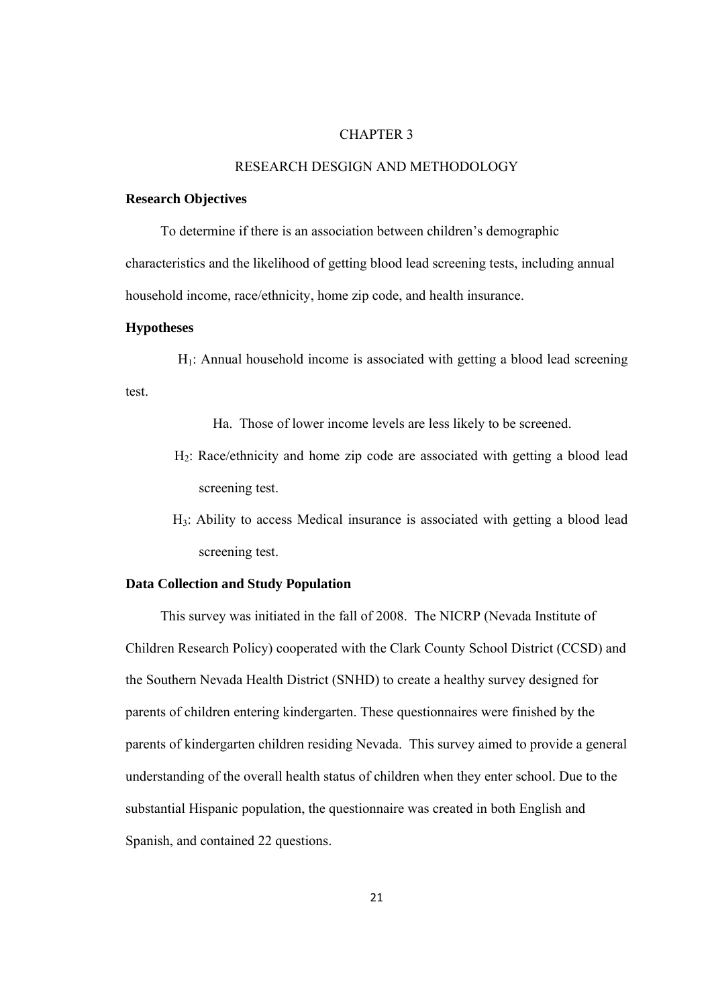#### CHAPTER 3

#### RESEARCH DESGIGN AND METHODOLOGY

#### **Research Objectives**

To determine if there is an association between children's demographic

characteristics and the likelihood of getting blood lead screening tests, including annual household income, race/ethnicity, home zip code, and health insurance.

#### **Hypotheses**

 $H_1$ : Annual household income is associated with getting a blood lead screening test.

Ha. Those of lower income levels are less likely to be screened.

- H2: Race/ethnicity and home zip code are associated with getting a blood lead screening test.
- H3: Ability to access Medical insurance is associated with getting a blood lead screening test.

#### **Data Collection and Study Population**

 This survey was initiated in the fall of 2008. The NICRP (Nevada Institute of Children Research Policy) cooperated with the Clark County School District (CCSD) and the Southern Nevada Health District (SNHD) to create a healthy survey designed for parents of children entering kindergarten. These questionnaires were finished by the parents of kindergarten children residing Nevada. This survey aimed to provide a general understanding of the overall health status of children when they enter school. Due to the substantial Hispanic population, the questionnaire was created in both English and Spanish, and contained 22 questions.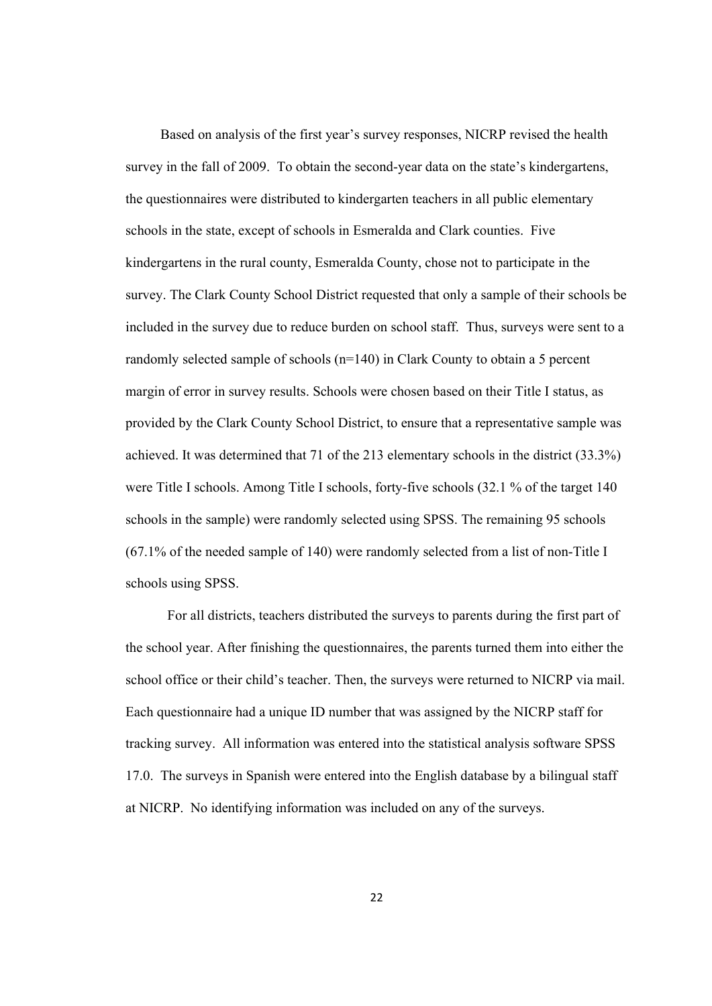Based on analysis of the first year's survey responses, NICRP revised the health survey in the fall of 2009. To obtain the second-year data on the state's kindergartens, the questionnaires were distributed to kindergarten teachers in all public elementary schools in the state, except of schools in Esmeralda and Clark counties. Five kindergartens in the rural county, Esmeralda County, chose not to participate in the survey. The Clark County School District requested that only a sample of their schools be included in the survey due to reduce burden on school staff. Thus, surveys were sent to a randomly selected sample of schools (n=140) in Clark County to obtain a 5 percent margin of error in survey results. Schools were chosen based on their Title I status, as provided by the Clark County School District, to ensure that a representative sample was achieved. It was determined that 71 of the 213 elementary schools in the district (33.3%) were Title I schools. Among Title I schools, forty-five schools (32.1 % of the target 140 schools in the sample) were randomly selected using SPSS. The remaining 95 schools (67.1% of the needed sample of 140) were randomly selected from a list of non-Title I schools using SPSS.

 For all districts, teachers distributed the surveys to parents during the first part of the school year. After finishing the questionnaires, the parents turned them into either the school office or their child's teacher. Then, the surveys were returned to NICRP via mail. Each questionnaire had a unique ID number that was assigned by the NICRP staff for tracking survey. All information was entered into the statistical analysis software SPSS 17.0. The surveys in Spanish were entered into the English database by a bilingual staff at NICRP. No identifying information was included on any of the surveys.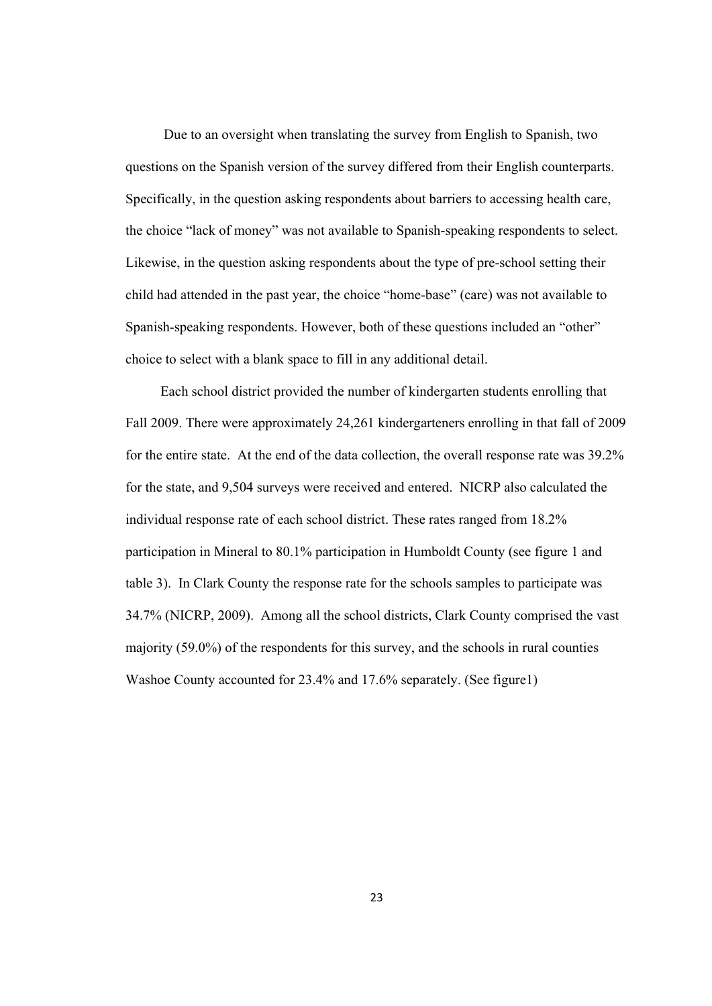Due to an oversight when translating the survey from English to Spanish, two questions on the Spanish version of the survey differed from their English counterparts. Specifically, in the question asking respondents about barriers to accessing health care, the choice "lack of money" was not available to Spanish-speaking respondents to select. Likewise, in the question asking respondents about the type of pre-school setting their child had attended in the past year, the choice "home-base" (care) was not available to Spanish-speaking respondents. However, both of these questions included an "other" choice to select with a blank space to fill in any additional detail.

 Each school district provided the number of kindergarten students enrolling that Fall 2009. There were approximately 24,261 kindergarteners enrolling in that fall of 2009 for the entire state. At the end of the data collection, the overall response rate was 39.2% for the state, and 9,504 surveys were received and entered. NICRP also calculated the individual response rate of each school district. These rates ranged from 18.2% participation in Mineral to 80.1% participation in Humboldt County (see figure 1 and table 3). In Clark County the response rate for the schools samples to participate was 34.7% (NICRP, 2009). Among all the school districts, Clark County comprised the vast majority (59.0%) of the respondents for this survey, and the schools in rural counties Washoe County accounted for 23.4% and 17.6% separately. (See figure1)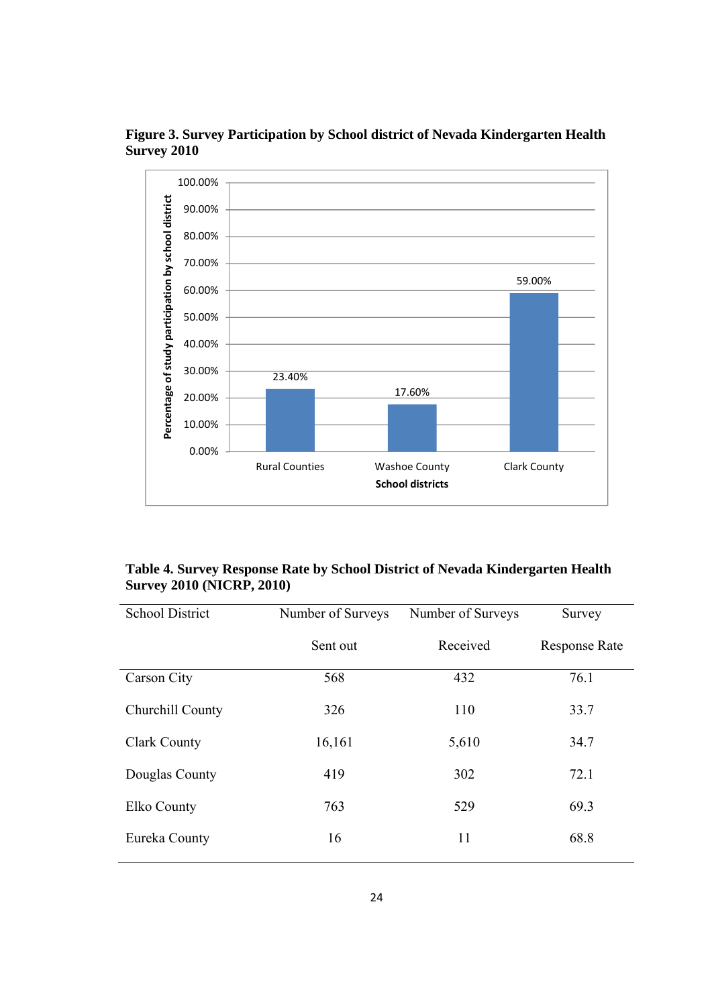

**Figure 3. Survey Participation by School district of Nevada Kindergarten Health Survey 2010** 

## **Table 4. Survey Response Rate by School District of Nevada Kindergarten Health Survey 2010 (NICRP, 2010)**

| <b>School District</b> | Number of Surveys | Number of Surveys | Survey               |
|------------------------|-------------------|-------------------|----------------------|
|                        | Sent out          | Received          | <b>Response Rate</b> |
| Carson City            | 568               | 432               | 76.1                 |
| Churchill County       | 326               | 110               | 33.7                 |
| <b>Clark County</b>    | 16,161            | 5,610             | 34.7                 |
| Douglas County         | 419               | 302               | 72.1                 |
| Elko County            | 763               | 529               | 69.3                 |
| Eureka County          | 16                | 11                | 68.8                 |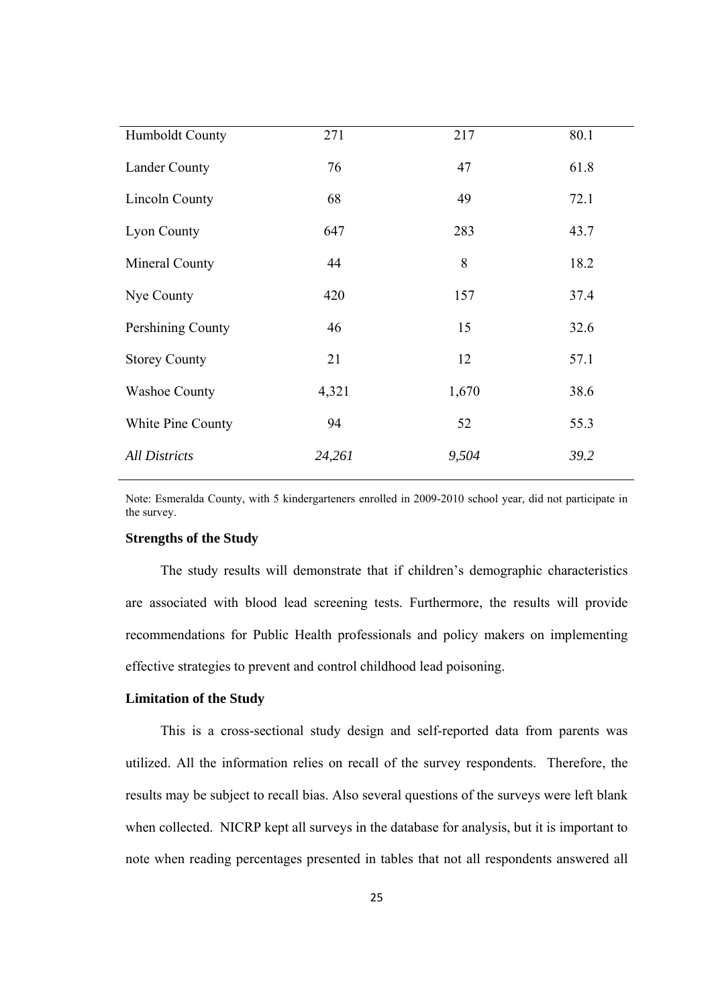| Humboldt County      | 271    | 217   | 80.1 |
|----------------------|--------|-------|------|
| <b>Lander County</b> | 76     | 47    | 61.8 |
| Lincoln County       | 68     | 49    | 72.1 |
| Lyon County          | 647    | 283   | 43.7 |
| Mineral County       | 44     | 8     | 18.2 |
| Nye County           | 420    | 157   | 37.4 |
| Pershining County    | 46     | 15    | 32.6 |
| <b>Storey County</b> | 21     | 12    | 57.1 |
| <b>Washoe County</b> | 4,321  | 1,670 | 38.6 |
| White Pine County    | 94     | 52    | 55.3 |
| <b>All Districts</b> | 24,261 | 9,504 | 39.2 |

Note: Esmeralda County, with 5 kindergarteners enrolled in 2009-2010 school year, did not participate in the survey.

#### **Strengths of the Study**

 The study results will demonstrate that if children's demographic characteristics are associated with blood lead screening tests. Furthermore, the results will provide recommendations for Public Health professionals and policy makers on implementing effective strategies to prevent and control childhood lead poisoning.

#### **Limitation of the Study**

 This is a cross-sectional study design and self-reported data from parents was utilized. All the information relies on recall of the survey respondents. Therefore, the results may be subject to recall bias. Also several questions of the surveys were left blank when collected. NICRP kept all surveys in the database for analysis, but it is important to note when reading percentages presented in tables that not all respondents answered all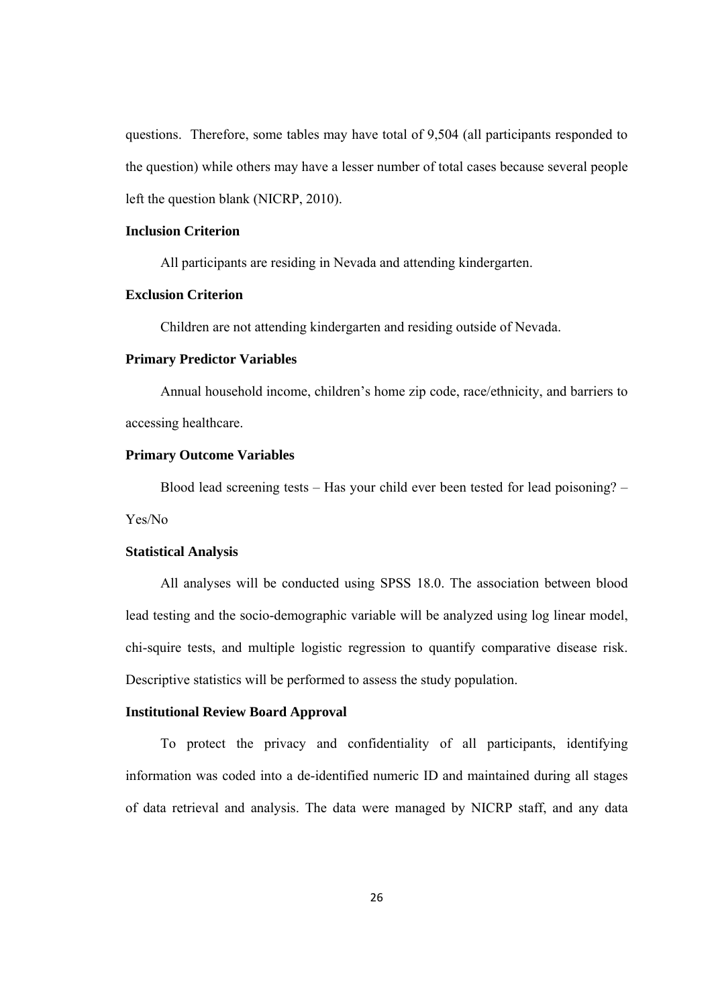questions. Therefore, some tables may have total of 9,504 (all participants responded to the question) while others may have a lesser number of total cases because several people left the question blank (NICRP, 2010).

#### **Inclusion Criterion**

All participants are residing in Nevada and attending kindergarten.

#### **Exclusion Criterion**

Children are not attending kindergarten and residing outside of Nevada.

#### **Primary Predictor Variables**

 Annual household income, children's home zip code, race/ethnicity, and barriers to accessing healthcare.

#### **Primary Outcome Variables**

 Blood lead screening tests – Has your child ever been tested for lead poisoning? – Yes/No

#### **Statistical Analysis**

 All analyses will be conducted using SPSS 18.0. The association between blood lead testing and the socio-demographic variable will be analyzed using log linear model, chi-squire tests, and multiple logistic regression to quantify comparative disease risk. Descriptive statistics will be performed to assess the study population.

#### **Institutional Review Board Approval**

 To protect the privacy and confidentiality of all participants, identifying information was coded into a de-identified numeric ID and maintained during all stages of data retrieval and analysis. The data were managed by NICRP staff, and any data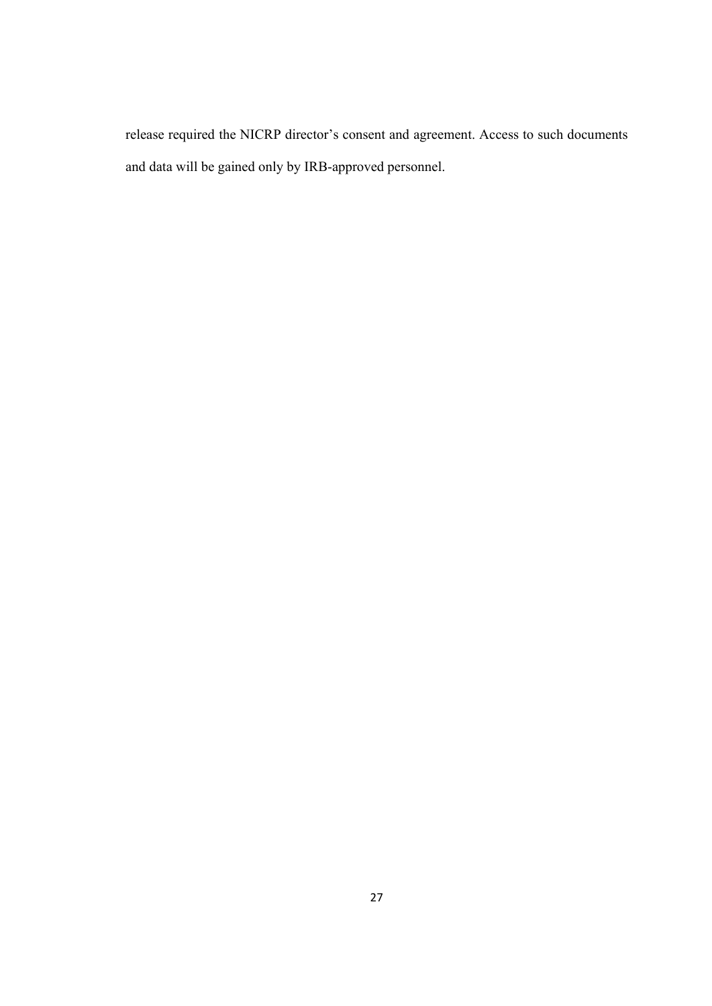release required the NICRP director's consent and agreement. Access to such documents and data will be gained only by IRB-approved personnel.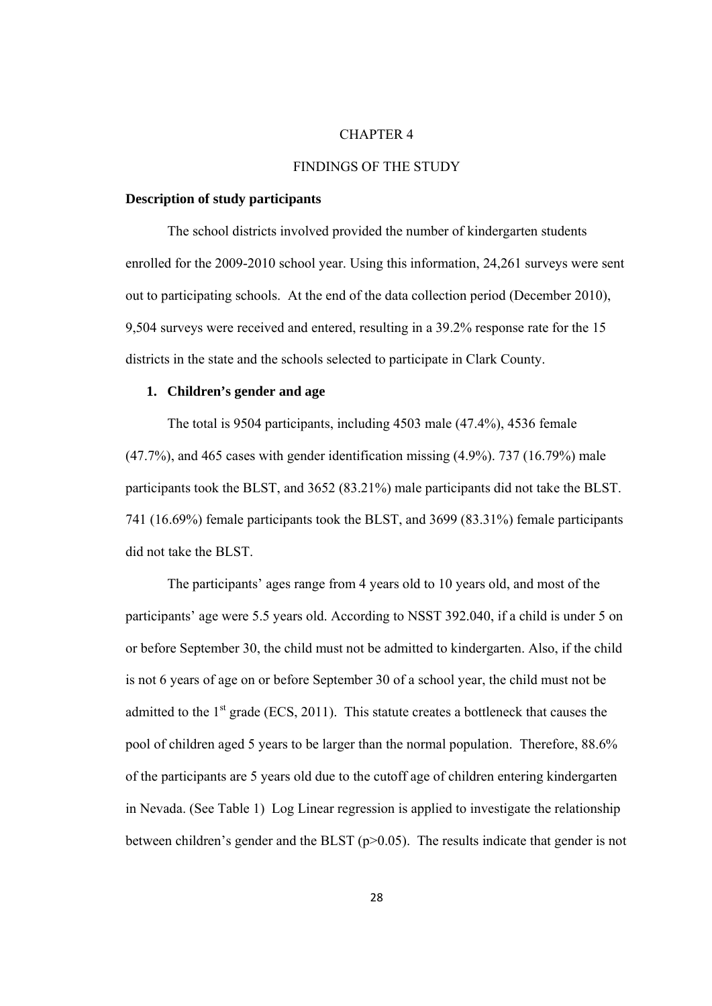#### CHAPTER 4

#### FINDINGS OF THE STUDY

#### **Description of study participants**

The school districts involved provided the number of kindergarten students enrolled for the 2009-2010 school year. Using this information, 24,261 surveys were sent out to participating schools. At the end of the data collection period (December 2010), 9,504 surveys were received and entered, resulting in a 39.2% response rate for the 15 districts in the state and the schools selected to participate in Clark County.

#### **1. Children's gender and age**

The total is 9504 participants, including 4503 male (47.4%), 4536 female  $(47.7\%)$ , and 465 cases with gender identification missing  $(4.9\%)$ . 737  $(16.79\%)$  male participants took the BLST, and 3652 (83.21%) male participants did not take the BLST. 741 (16.69%) female participants took the BLST, and 3699 (83.31%) female participants did not take the BLST.

The participants' ages range from 4 years old to 10 years old, and most of the participants' age were 5.5 years old. According to NSST 392.040, if a child is under 5 on or before September 30, the child must not be admitted to kindergarten. Also, if the child is not 6 years of age on or before September 30 of a school year, the child must not be admitted to the  $1<sup>st</sup>$  grade (ECS, 2011). This statute creates a bottleneck that causes the pool of children aged 5 years to be larger than the normal population. Therefore, 88.6% of the participants are 5 years old due to the cutoff age of children entering kindergarten in Nevada. (See Table 1) Log Linear regression is applied to investigate the relationship between children's gender and the BLST (p>0.05). The results indicate that gender is not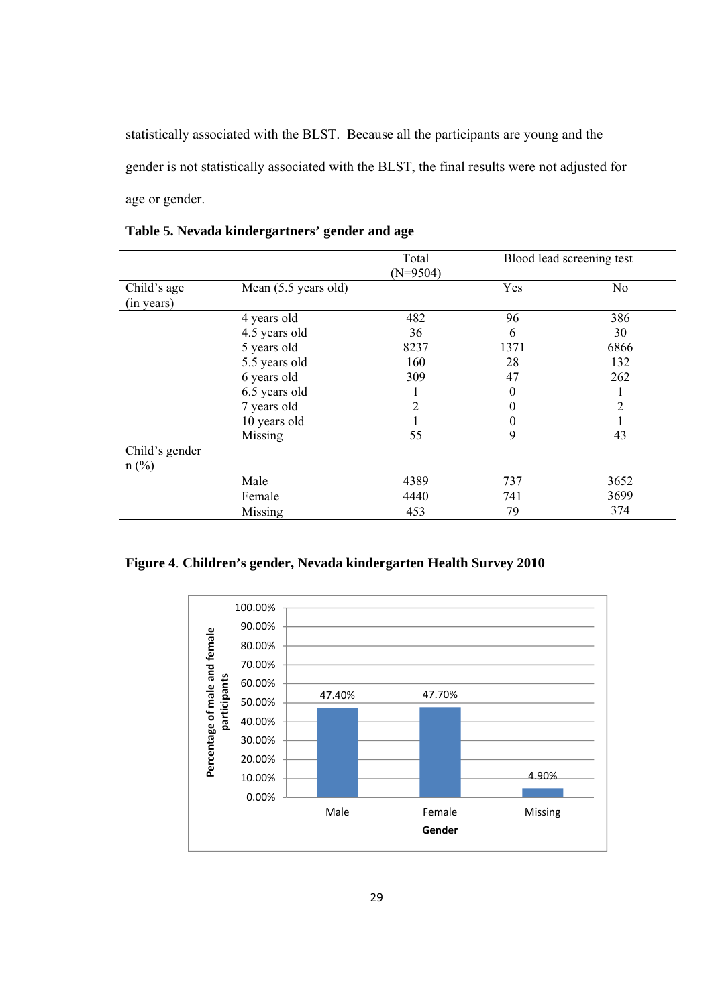statistically associated with the BLST. Because all the participants are young and the gender is not statistically associated with the BLST, the final results were not adjusted for age or gender.

|                |                      | Total      |          | Blood lead screening test |
|----------------|----------------------|------------|----------|---------------------------|
|                |                      | $(N=9504)$ |          |                           |
| Child's age    | Mean (5.5 years old) |            | Yes      | N <sub>0</sub>            |
| (in years)     |                      |            |          |                           |
|                | 4 years old          | 482        | 96       | 386                       |
|                | 4.5 years old        | 36         | 6        | 30                        |
|                | 5 years old          | 8237       | 1371     | 6866                      |
|                | 5.5 years old        | 160        | 28       | 132                       |
|                | 6 years old          | 309        | 47       | 262                       |
|                | 6.5 years old        |            | $\theta$ |                           |
|                | 7 years old          |            | 0        |                           |
|                | 10 years old         |            | $\theta$ |                           |
|                | Missing              | 55         | 9        | 43                        |
| Child's gender |                      |            |          |                           |
| $n$ (%)        |                      |            |          |                           |
|                | Male                 | 4389       | 737      | 3652                      |
|                | Female               | 4440       | 741      | 3699                      |
|                | Missing              | 453        | 79       | 374                       |

**Table 5. Nevada kindergartners' gender and age** 

**Figure 4**. **Children's gender, Nevada kindergarten Health Survey 2010**

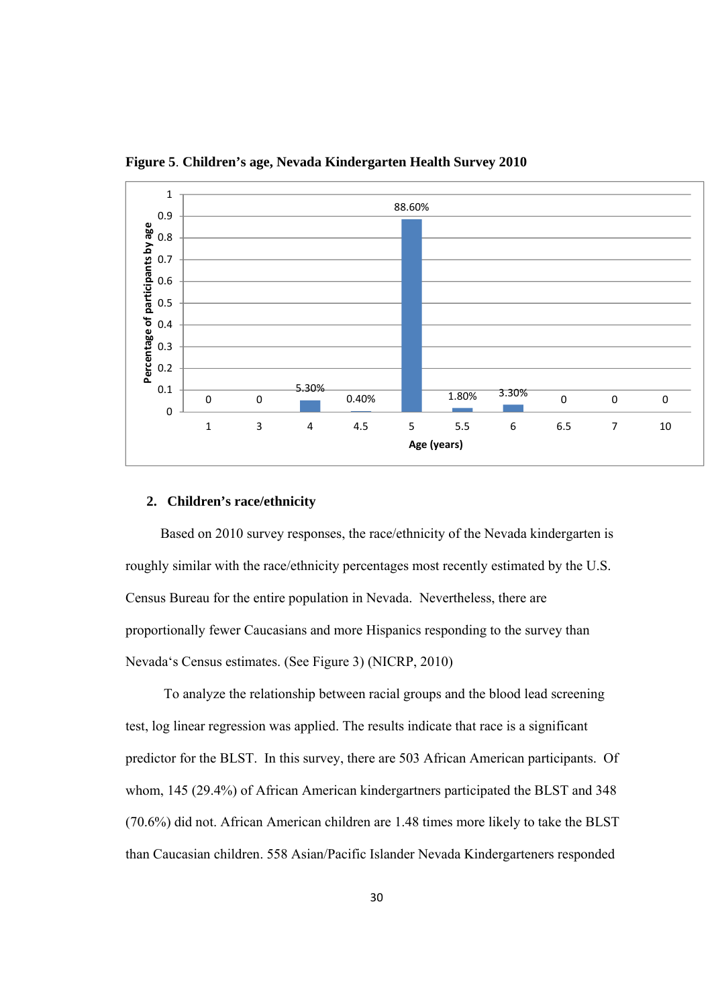

**Figure 5**. **Children's age, Nevada Kindergarten Health Survey 2010**

#### **2. Children's race/ethnicity**

Based on 2010 survey responses, the race/ethnicity of the Nevada kindergarten is roughly similar with the race/ethnicity percentages most recently estimated by the U.S. Census Bureau for the entire population in Nevada. Nevertheless, there are proportionally fewer Caucasians and more Hispanics responding to the survey than Nevada's Census estimates. (See Figure 3) (NICRP, 2010)

 To analyze the relationship between racial groups and the blood lead screening test, log linear regression was applied. The results indicate that race is a significant predictor for the BLST. In this survey, there are 503 African American participants. Of whom, 145 (29.4%) of African American kindergartners participated the BLST and 348 (70.6%) did not. African American children are 1.48 times more likely to take the BLST than Caucasian children. 558 Asian/Pacific Islander Nevada Kindergarteners responded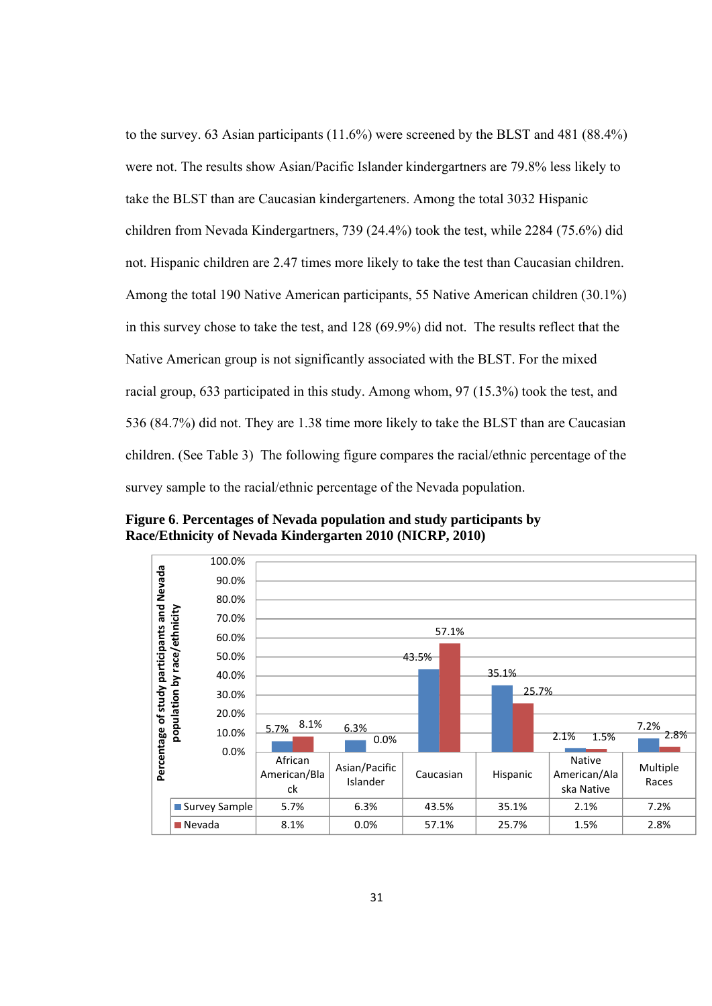to the survey. 63 Asian participants (11.6%) were screened by the BLST and 481 (88.4%) were not. The results show Asian/Pacific Islander kindergartners are 79.8% less likely to take the BLST than are Caucasian kindergarteners. Among the total 3032 Hispanic children from Nevada Kindergartners, 739 (24.4%) took the test, while 2284 (75.6%) did not. Hispanic children are 2.47 times more likely to take the test than Caucasian children. Among the total 190 Native American participants, 55 Native American children (30.1%) in this survey chose to take the test, and 128 (69.9%) did not. The results reflect that the Native American group is not significantly associated with the BLST. For the mixed racial group, 633 participated in this study. Among whom, 97 (15.3%) took the test, and 536 (84.7%) did not. They are 1.38 time more likely to take the BLST than are Caucasian children. (See Table 3) The following figure compares the racial/ethnic percentage of the survey sample to the racial/ethnic percentage of the Nevada population.

**Figure 6**. **Percentages of Nevada population and study participants by Race/Ethnicity of Nevada Kindergarten 2010 (NICRP, 2010)**

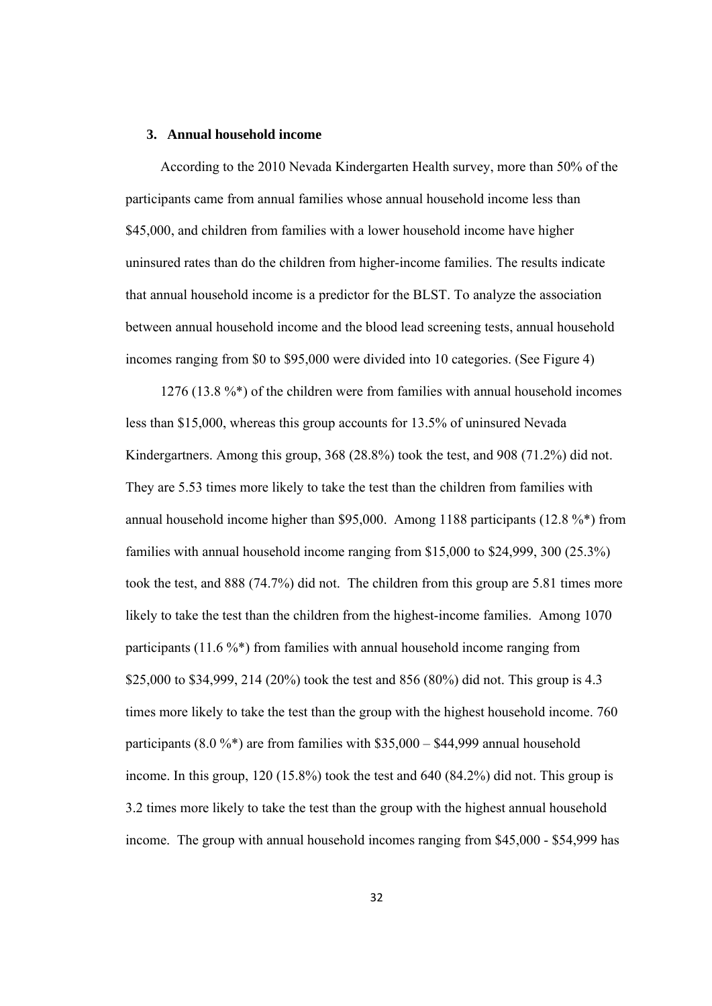#### **3. Annual household income**

 According to the 2010 Nevada Kindergarten Health survey, more than 50% of the participants came from annual families whose annual household income less than \$45,000, and children from families with a lower household income have higher uninsured rates than do the children from higher-income families. The results indicate that annual household income is a predictor for the BLST. To analyze the association between annual household income and the blood lead screening tests, annual household incomes ranging from \$0 to \$95,000 were divided into 10 categories. (See Figure 4)

 1276 (13.8 %\*) of the children were from families with annual household incomes less than \$15,000, whereas this group accounts for 13.5% of uninsured Nevada Kindergartners. Among this group, 368 (28.8%) took the test, and 908 (71.2%) did not. They are 5.53 times more likely to take the test than the children from families with annual household income higher than \$95,000. Among 1188 participants (12.8 %\*) from families with annual household income ranging from \$15,000 to \$24,999, 300 (25.3%) took the test, and 888 (74.7%) did not. The children from this group are 5.81 times more likely to take the test than the children from the highest-income families. Among 1070 participants  $(11.6\%^*)$  from families with annual household income ranging from \$25,000 to \$34,999, 214 (20%) took the test and 856 (80%) did not. This group is 4.3 times more likely to take the test than the group with the highest household income. 760 participants (8.0 %\*) are from families with  $$35,000 - $44,999$  annual household income. In this group, 120 (15.8%) took the test and 640 (84.2%) did not. This group is 3.2 times more likely to take the test than the group with the highest annual household income. The group with annual household incomes ranging from \$45,000 - \$54,999 has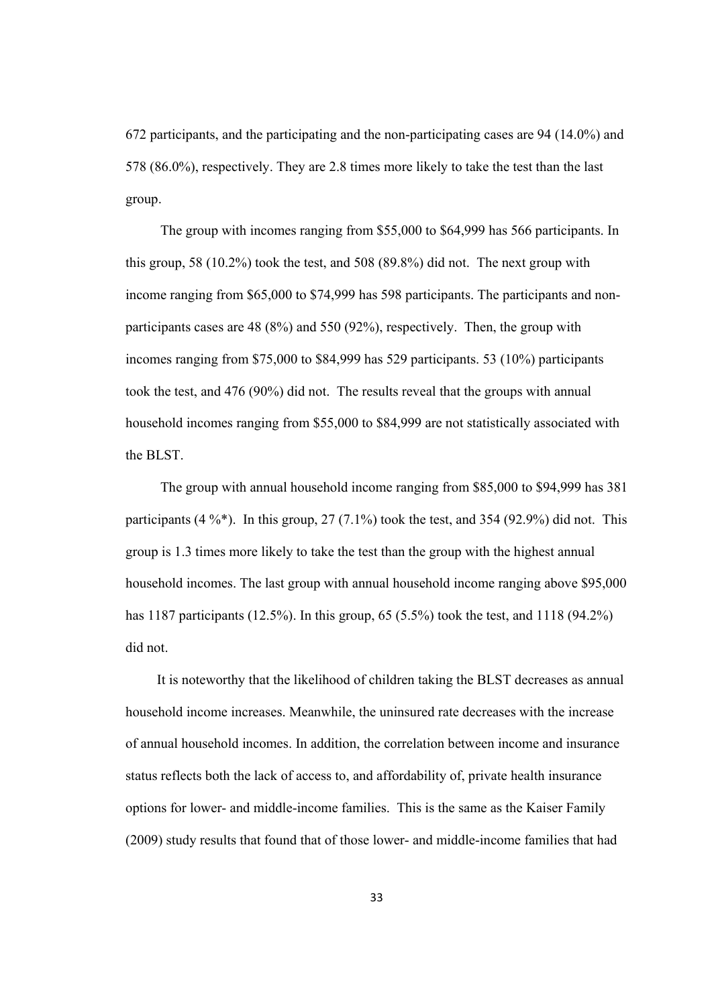672 participants, and the participating and the non-participating cases are 94 (14.0%) and 578 (86.0%), respectively. They are 2.8 times more likely to take the test than the last group.

 The group with incomes ranging from \$55,000 to \$64,999 has 566 participants. In this group, 58 (10.2%) took the test, and 508 (89.8%) did not. The next group with income ranging from \$65,000 to \$74,999 has 598 participants. The participants and nonparticipants cases are 48 (8%) and 550 (92%), respectively. Then, the group with incomes ranging from \$75,000 to \$84,999 has 529 participants. 53 (10%) participants took the test, and 476 (90%) did not. The results reveal that the groups with annual household incomes ranging from \$55,000 to \$84,999 are not statistically associated with the BLST.

 The group with annual household income ranging from \$85,000 to \$94,999 has 381 participants  $(4\%^*)$ . In this group,  $27(7.1\%)$  took the test, and 354 (92.9%) did not. This group is 1.3 times more likely to take the test than the group with the highest annual household incomes. The last group with annual household income ranging above \$95,000 has 1187 participants (12.5%). In this group, 65 (5.5%) took the test, and 1118 (94.2%) did not.

 It is noteworthy that the likelihood of children taking the BLST decreases as annual household income increases. Meanwhile, the uninsured rate decreases with the increase of annual household incomes. In addition, the correlation between income and insurance status reflects both the lack of access to, and affordability of, private health insurance options for lower- and middle-income families. This is the same as the Kaiser Family (2009) study results that found that of those lower- and middle-income families that had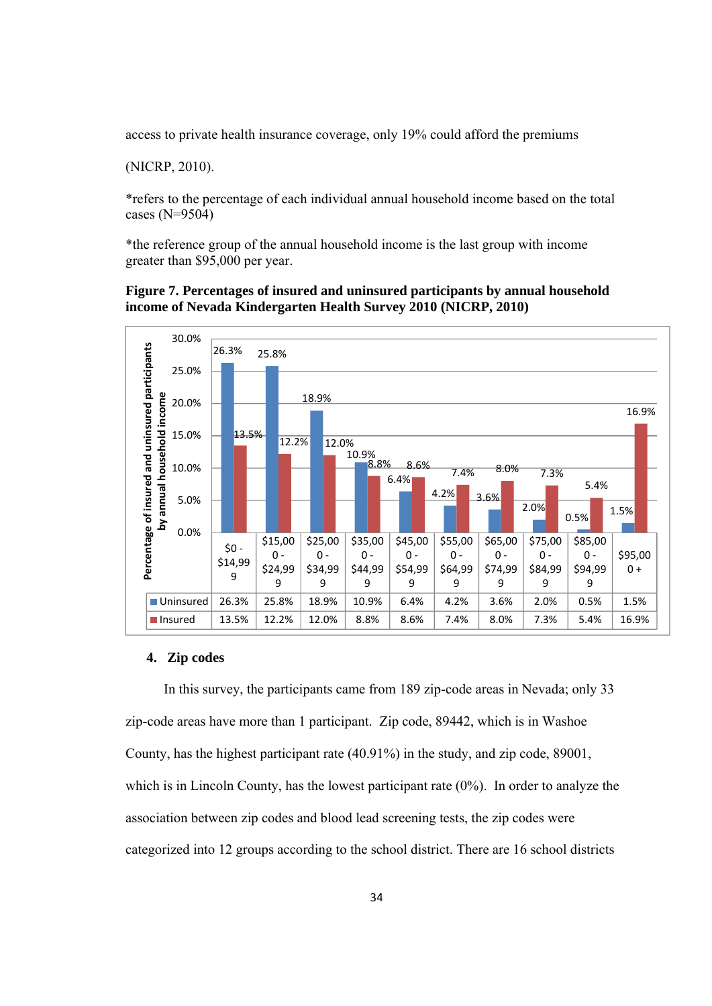access to private health insurance coverage, only 19% could afford the premiums

(NICRP, 2010).

\*refers to the percentage of each individual annual household income based on the total cases (N=9504)

\*the reference group of the annual household income is the last group with income greater than \$95,000 per year.

#### **Figure 7. Percentages of insured and uninsured participants by annual household income of Nevada Kindergarten Health Survey 2010 (NICRP, 2010)**



#### **4. Zip codes**

 In this survey, the participants came from 189 zip-code areas in Nevada; only 33 zip-code areas have more than 1 participant. Zip code, 89442, which is in Washoe County, has the highest participant rate (40.91%) in the study, and zip code, 89001, which is in Lincoln County, has the lowest participant rate  $(0\%)$ . In order to analyze the association between zip codes and blood lead screening tests, the zip codes were categorized into 12 groups according to the school district. There are 16 school districts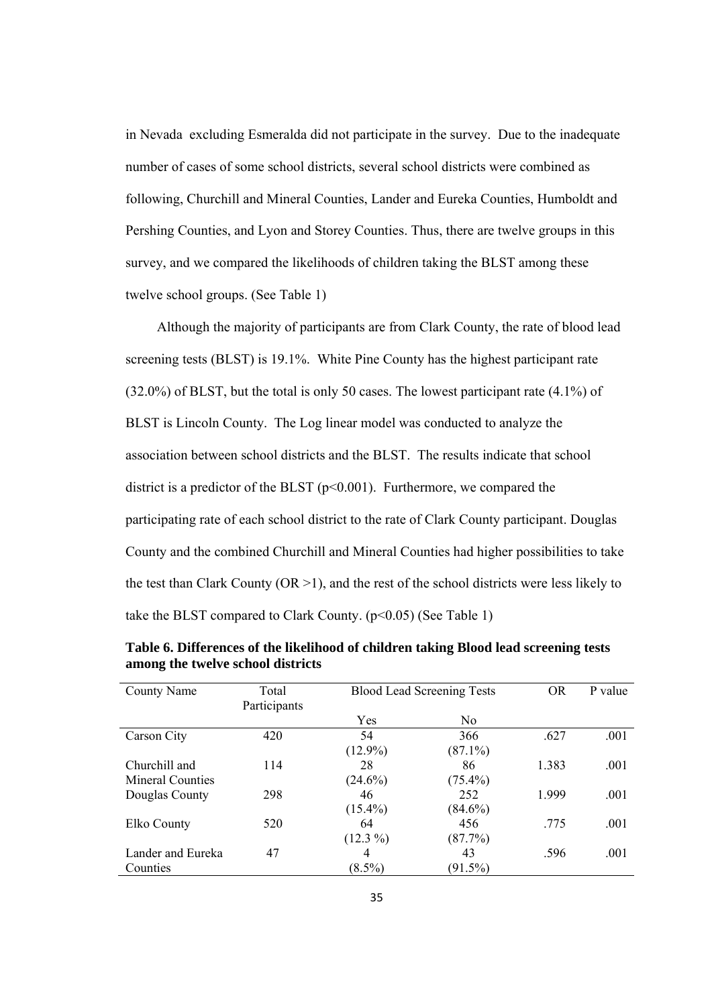in Nevada excluding Esmeralda did not participate in the survey. Due to the inadequate number of cases of some school districts, several school districts were combined as following, Churchill and Mineral Counties, Lander and Eureka Counties, Humboldt and Pershing Counties, and Lyon and Storey Counties. Thus, there are twelve groups in this survey, and we compared the likelihoods of children taking the BLST among these twelve school groups. (See Table 1)

 Although the majority of participants are from Clark County, the rate of blood lead screening tests (BLST) is 19.1%. White Pine County has the highest participant rate (32.0%) of BLST, but the total is only 50 cases. The lowest participant rate (4.1%) of BLST is Lincoln County. The Log linear model was conducted to analyze the association between school districts and the BLST. The results indicate that school district is a predictor of the BLST ( $p<0.001$ ). Furthermore, we compared the participating rate of each school district to the rate of Clark County participant. Douglas County and the combined Churchill and Mineral Counties had higher possibilities to take the test than Clark County ( $OR > 1$ ), and the rest of the school districts were less likely to take the BLST compared to Clark County. (p<0.05) (See Table 1)

| County Name       | Total        | <b>Blood Lead Screening Tests</b> |                | <b>OR</b> | P value |
|-------------------|--------------|-----------------------------------|----------------|-----------|---------|
|                   | Participants |                                   |                |           |         |
|                   |              | Yes                               | N <sub>0</sub> |           |         |
| Carson City       | 420          | 54                                | 366            | .627      | .001    |
|                   |              | $(12.9\%)$                        | $(87.1\%)$     |           |         |
| Churchill and     | 114          | 28                                | 86             | 1.383     | .001    |
| Mineral Counties  |              | $(24.6\%)$                        | $(75.4\%)$     |           |         |
| Douglas County    | 298          | 46                                | 252            | 1.999     | .001    |
|                   |              | $(15.4\%)$                        | $(84.6\%)$     |           |         |
| Elko County       | 520          | 64                                | 456            | .775      | .001    |
|                   |              | $(12.3\%)$                        | (87.7%)        |           |         |
| Lander and Eureka | 47           | 4                                 | 43             | .596      | .001    |
| Counties          |              | $(8.5\%)$                         | $(91.5\%)$     |           |         |

**Table 6. Differences of the likelihood of children taking Blood lead screening tests among the twelve school districts**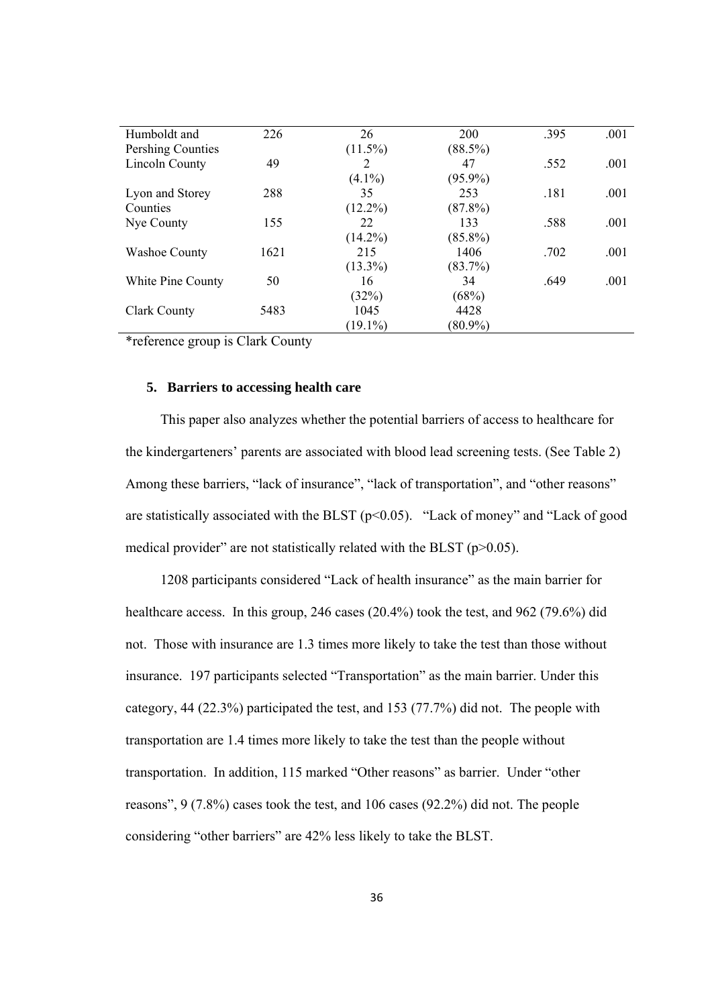| 226  | 26         | 200        | .395 | .001 |
|------|------------|------------|------|------|
|      | $(11.5\%)$ | $(88.5\%)$ |      |      |
| 49   | 2          | 47         | .552 | .001 |
|      | $(4.1\%)$  | $(95.9\%)$ |      |      |
| 288  | 35         | 253        | .181 | .001 |
|      | $(12.2\%)$ | $(87.8\%)$ |      |      |
| 155  | 22         | 133        | .588 | .001 |
|      | $(14.2\%)$ | $(85.8\%)$ |      |      |
| 1621 | 215        | 1406       | .702 | .001 |
|      | $(13.3\%)$ | $(83.7\%)$ |      |      |
| 50   | 16         | 34         | .649 | .001 |
|      | (32%)      | (68%)      |      |      |
| 5483 | 1045       | 4428       |      |      |
|      | $(19.1\%)$ | $(80.9\%)$ |      |      |
|      |            |            |      |      |

\*reference group is Clark County

#### **5. Barriers to accessing health care**

 This paper also analyzes whether the potential barriers of access to healthcare for the kindergarteners' parents are associated with blood lead screening tests. (See Table 2) Among these barriers, "lack of insurance", "lack of transportation", and "other reasons" are statistically associated with the BLST (p<0.05). "Lack of money" and "Lack of good medical provider" are not statistically related with the BLST ( $p$  $>$ 0.05).

 1208 participants considered "Lack of health insurance" as the main barrier for healthcare access. In this group, 246 cases (20.4%) took the test, and 962 (79.6%) did not. Those with insurance are 1.3 times more likely to take the test than those without insurance. 197 participants selected "Transportation" as the main barrier. Under this category, 44 (22.3%) participated the test, and 153 (77.7%) did not. The people with transportation are 1.4 times more likely to take the test than the people without transportation. In addition, 115 marked "Other reasons" as barrier. Under "other reasons", 9 (7.8%) cases took the test, and 106 cases (92.2%) did not. The people considering "other barriers" are 42% less likely to take the BLST.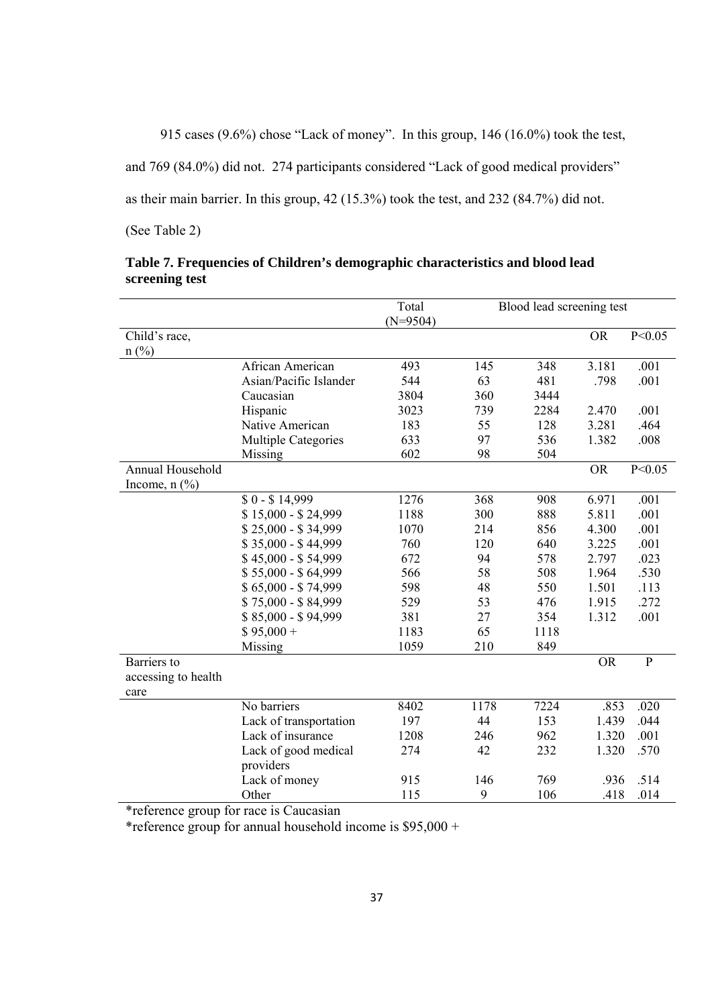915 cases (9.6%) chose "Lack of money". In this group, 146 (16.0%) took the test,

and 769 (84.0%) did not. 274 participants considered "Lack of good medical providers"

as their main barrier. In this group, 42 (15.3%) took the test, and 232 (84.7%) did not.

(See Table 2)

|                     |                            | Total      | Blood lead screening test |      |           |                |
|---------------------|----------------------------|------------|---------------------------|------|-----------|----------------|
|                     |                            | $(N=9504)$ |                           |      |           |                |
| Child's race,       |                            |            |                           |      | <b>OR</b> | P < 0.05       |
| $n$ (%)             |                            |            |                           |      |           |                |
|                     | African American           | 493        | 145                       | 348  | 3.181     | .001           |
|                     | Asian/Pacific Islander     | 544        | 63                        | 481  | .798      | .001           |
|                     | Caucasian                  | 3804       | 360                       | 3444 |           |                |
|                     | Hispanic                   | 3023       | 739                       | 2284 | 2.470     | .001           |
|                     | Native American            | 183        | 55                        | 128  | 3.281     | .464           |
|                     | <b>Multiple Categories</b> | 633        | 97                        | 536  | 1.382     | .008           |
|                     | Missing                    | 602        | 98                        | 504  |           |                |
| Annual Household    |                            |            |                           |      | <b>OR</b> | P < 0.05       |
| Income, $n$ $(\%)$  |                            |            |                           |      |           |                |
|                     | $$0 - $14,999$             | 1276       | 368                       | 908  | 6.971     | .001           |
|                     | \$15,000 - \$24,999        | 1188       | 300                       | 888  | 5.811     | .001           |
|                     | \$25,000 - \$34,999        | 1070       | 214                       | 856  | 4.300     | .001           |
|                     | \$35,000 - \$44,999        | 760        | 120                       | 640  | 3.225     | .001           |
|                     | $$45,000 - $54,999$        | 672        | 94                        | 578  | 2.797     | .023           |
|                     | \$55,000 - \$64,999        | 566        | 58                        | 508  | 1.964     | .530           |
|                     | \$65,000 - \$74,999        | 598        | 48                        | 550  | 1.501     | .113           |
|                     | \$75,000 - \$84,999        | 529        | 53                        | 476  | 1.915     | .272           |
|                     | \$85,000 - \$94,999        | 381        | 27                        | 354  | 1.312     | .001           |
|                     | $$95,000+$                 | 1183       | 65                        | 1118 |           |                |
|                     | Missing                    | 1059       | 210                       | 849  |           |                |
| Barriers to         |                            |            |                           |      | <b>OR</b> | $\overline{P}$ |
| accessing to health |                            |            |                           |      |           |                |
| care                |                            |            |                           |      |           |                |
|                     | No barriers                | 8402       | 1178                      | 7224 | .853      | .020           |
|                     | Lack of transportation     | 197        | 44                        | 153  | 1.439     | .044           |
|                     | Lack of insurance          | 1208       | 246                       | 962  | 1.320     | .001           |
|                     | Lack of good medical       | 274        | 42                        | 232  | 1.320     | .570           |
|                     | providers                  |            |                           |      |           |                |
|                     | Lack of money              | 915        | 146                       | 769  | .936      | .514           |
|                     | Other                      | 115        | 9                         | 106  | .418      | .014           |

| Table 7. Frequencies of Children's demographic characteristics and blood lead |  |
|-------------------------------------------------------------------------------|--|
| screening test                                                                |  |

\*reference group for race is Caucasian

\*reference group for annual household income is  $$95,000 +$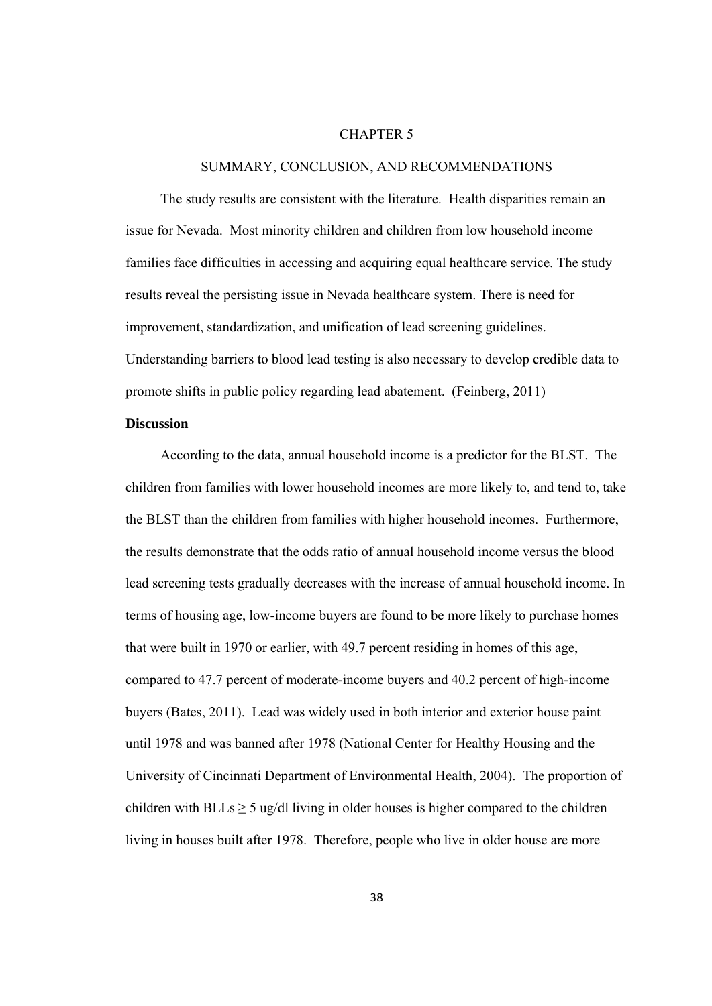#### CHAPTER 5

#### SUMMARY, CONCLUSION, AND RECOMMENDATIONS

 The study results are consistent with the literature. Health disparities remain an issue for Nevada. Most minority children and children from low household income families face difficulties in accessing and acquiring equal healthcare service. The study results reveal the persisting issue in Nevada healthcare system. There is need for improvement, standardization, and unification of lead screening guidelines. Understanding barriers to blood lead testing is also necessary to develop credible data to promote shifts in public policy regarding lead abatement. (Feinberg, 2011)

#### **Discussion**

 According to the data, annual household income is a predictor for the BLST. The children from families with lower household incomes are more likely to, and tend to, take the BLST than the children from families with higher household incomes. Furthermore, the results demonstrate that the odds ratio of annual household income versus the blood lead screening tests gradually decreases with the increase of annual household income. In terms of housing age, low-income buyers are found to be more likely to purchase homes that were built in 1970 or earlier, with 49.7 percent residing in homes of this age, compared to 47.7 percent of moderate-income buyers and 40.2 percent of high-income buyers (Bates, 2011). Lead was widely used in both interior and exterior house paint until 1978 and was banned after 1978 (National Center for Healthy Housing and the University of Cincinnati Department of Environmental Health, 2004). The proportion of children with  $BLs > 5$  ug/dl living in older houses is higher compared to the children living in houses built after 1978. Therefore, people who live in older house are more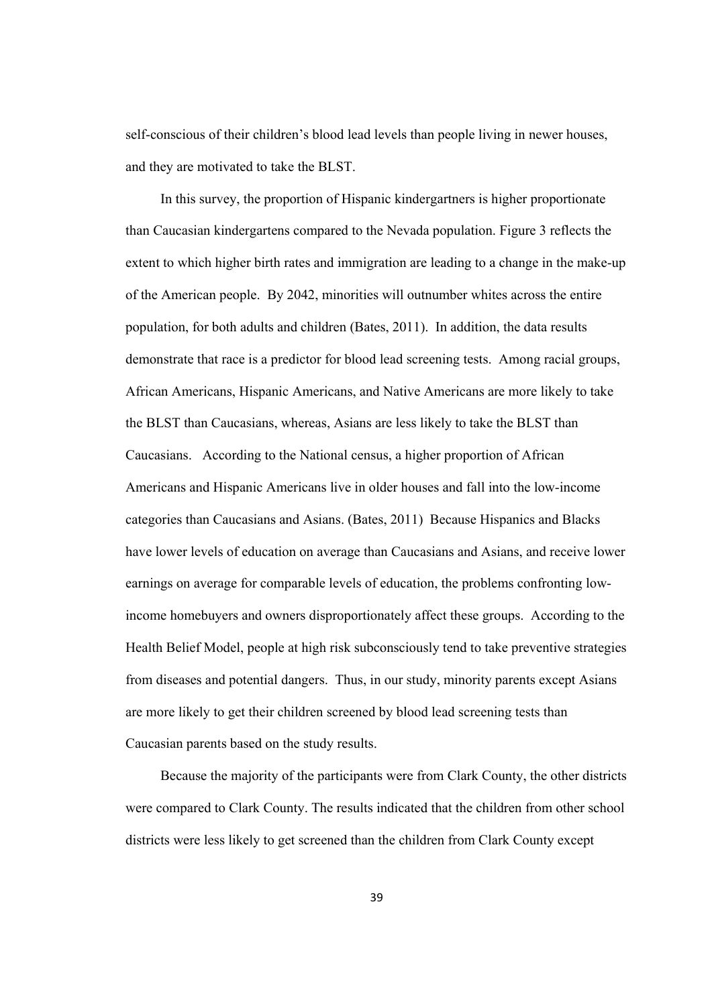self-conscious of their children's blood lead levels than people living in newer houses, and they are motivated to take the BLST.

 In this survey, the proportion of Hispanic kindergartners is higher proportionate than Caucasian kindergartens compared to the Nevada population. Figure 3 reflects the extent to which higher birth rates and immigration are leading to a change in the make-up of the American people. By 2042, minorities will outnumber whites across the entire population, for both adults and children (Bates, 2011). In addition, the data results demonstrate that race is a predictor for blood lead screening tests. Among racial groups, African Americans, Hispanic Americans, and Native Americans are more likely to take the BLST than Caucasians, whereas, Asians are less likely to take the BLST than Caucasians. According to the National census, a higher proportion of African Americans and Hispanic Americans live in older houses and fall into the low-income categories than Caucasians and Asians. (Bates, 2011) Because Hispanics and Blacks have lower levels of education on average than Caucasians and Asians, and receive lower earnings on average for comparable levels of education, the problems confronting lowincome homebuyers and owners disproportionately affect these groups. According to the Health Belief Model, people at high risk subconsciously tend to take preventive strategies from diseases and potential dangers. Thus, in our study, minority parents except Asians are more likely to get their children screened by blood lead screening tests than Caucasian parents based on the study results.

 Because the majority of the participants were from Clark County, the other districts were compared to Clark County. The results indicated that the children from other school districts were less likely to get screened than the children from Clark County except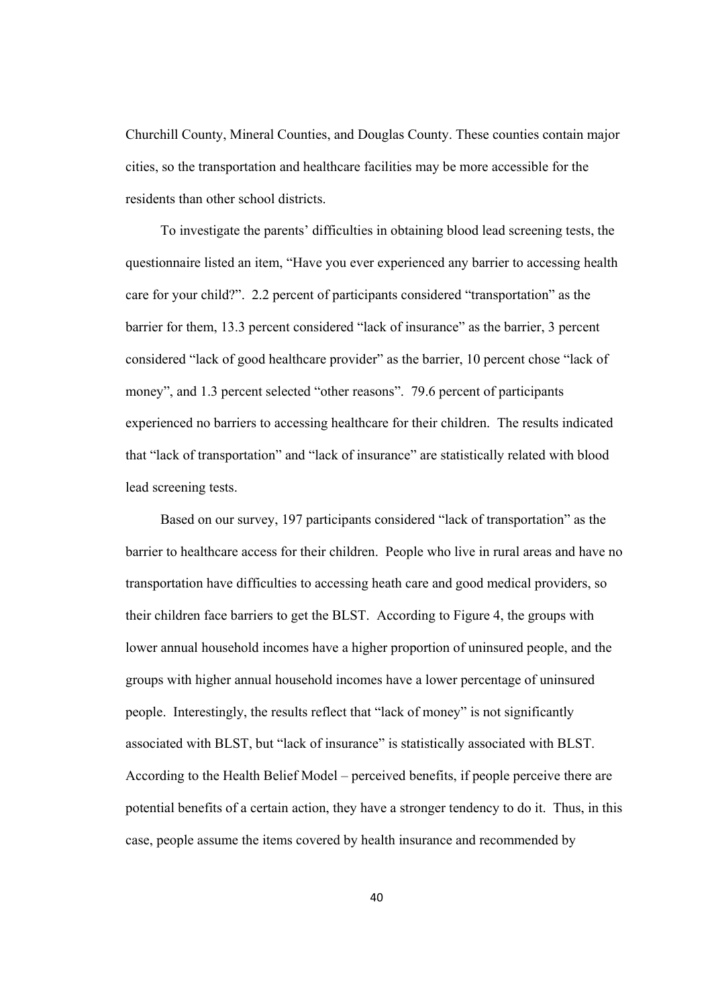Churchill County, Mineral Counties, and Douglas County. These counties contain major cities, so the transportation and healthcare facilities may be more accessible for the residents than other school districts.

 To investigate the parents' difficulties in obtaining blood lead screening tests, the questionnaire listed an item, "Have you ever experienced any barrier to accessing health care for your child?". 2.2 percent of participants considered "transportation" as the barrier for them, 13.3 percent considered "lack of insurance" as the barrier, 3 percent considered "lack of good healthcare provider" as the barrier, 10 percent chose "lack of money", and 1.3 percent selected "other reasons". 79.6 percent of participants experienced no barriers to accessing healthcare for their children. The results indicated that "lack of transportation" and "lack of insurance" are statistically related with blood lead screening tests.

 Based on our survey, 197 participants considered "lack of transportation" as the barrier to healthcare access for their children. People who live in rural areas and have no transportation have difficulties to accessing heath care and good medical providers, so their children face barriers to get the BLST. According to Figure 4, the groups with lower annual household incomes have a higher proportion of uninsured people, and the groups with higher annual household incomes have a lower percentage of uninsured people. Interestingly, the results reflect that "lack of money" is not significantly associated with BLST, but "lack of insurance" is statistically associated with BLST. According to the Health Belief Model – perceived benefits, if people perceive there are potential benefits of a certain action, they have a stronger tendency to do it. Thus, in this case, people assume the items covered by health insurance and recommended by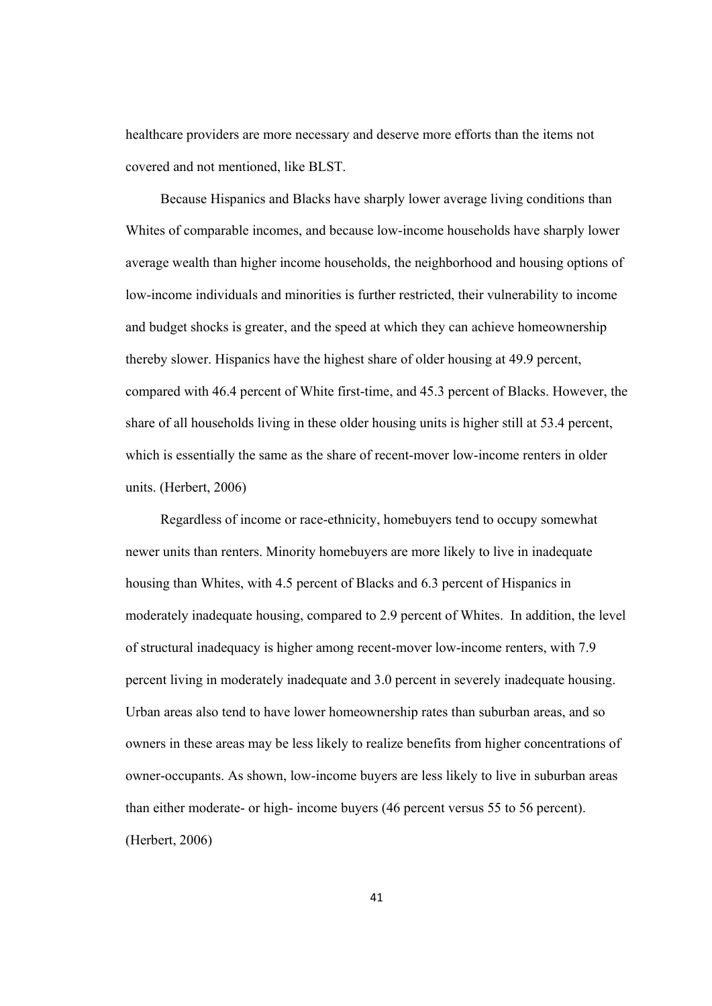healthcare providers are more necessary and deserve more efforts than the items not covered and not mentioned, like BLST.

 Because Hispanics and Blacks have sharply lower average living conditions than Whites of comparable incomes, and because low-income households have sharply lower average wealth than higher income households, the neighborhood and housing options of low-income individuals and minorities is further restricted, their vulnerability to income and budget shocks is greater, and the speed at which they can achieve homeownership thereby slower. Hispanics have the highest share of older housing at 49.9 percent, compared with 46.4 percent of White first-time, and 45.3 percent of Blacks. However, the share of all households living in these older housing units is higher still at 53.4 percent, which is essentially the same as the share of recent-mover low-income renters in older units. (Herbert, 2006)

 Regardless of income or race-ethnicity, homebuyers tend to occupy somewhat newer units than renters. Minority homebuyers are more likely to live in inadequate housing than Whites, with 4.5 percent of Blacks and 6.3 percent of Hispanics in moderately inadequate housing, compared to 2.9 percent of Whites. In addition, the level of structural inadequacy is higher among recent-mover low-income renters, with 7.9 percent living in moderately inadequate and 3.0 percent in severely inadequate housing. Urban areas also tend to have lower homeownership rates than suburban areas, and so owners in these areas may be less likely to realize benefits from higher concentrations of owner-occupants. As shown, low-income buyers are less likely to live in suburban areas than either moderate- or high- income buyers (46 percent versus 55 to 56 percent). (Herbert, 2006)

41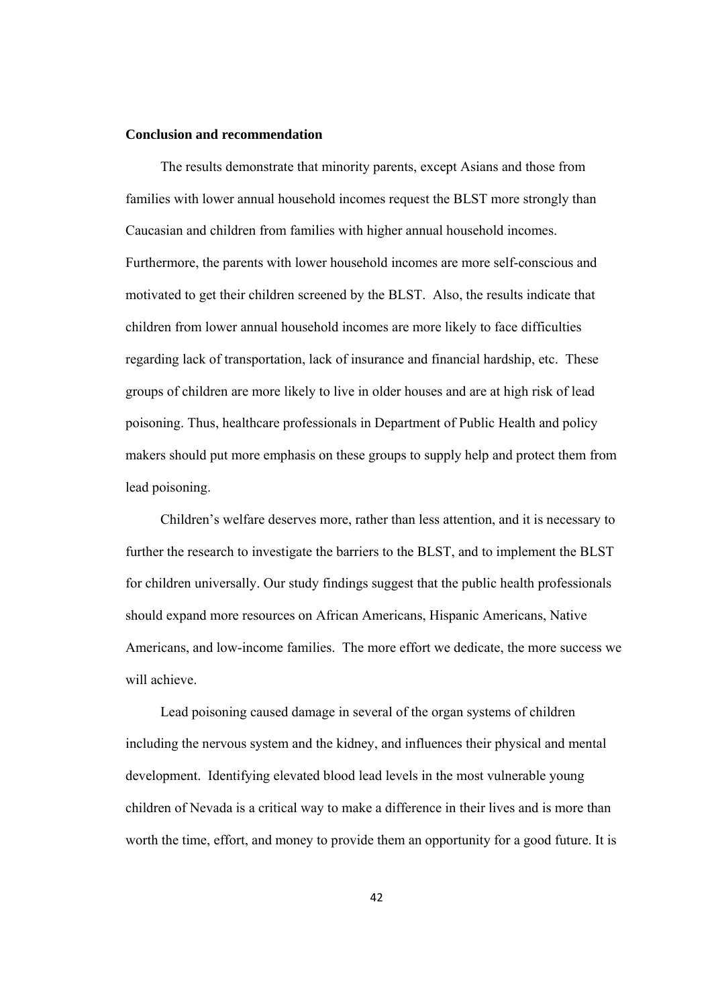#### **Conclusion and recommendation**

 The results demonstrate that minority parents, except Asians and those from families with lower annual household incomes request the BLST more strongly than Caucasian and children from families with higher annual household incomes. Furthermore, the parents with lower household incomes are more self-conscious and motivated to get their children screened by the BLST. Also, the results indicate that children from lower annual household incomes are more likely to face difficulties regarding lack of transportation, lack of insurance and financial hardship, etc. These groups of children are more likely to live in older houses and are at high risk of lead poisoning. Thus, healthcare professionals in Department of Public Health and policy makers should put more emphasis on these groups to supply help and protect them from lead poisoning.

 Children's welfare deserves more, rather than less attention, and it is necessary to further the research to investigate the barriers to the BLST, and to implement the BLST for children universally. Our study findings suggest that the public health professionals should expand more resources on African Americans, Hispanic Americans, Native Americans, and low-income families. The more effort we dedicate, the more success we will achieve.

 Lead poisoning caused damage in several of the organ systems of children including the nervous system and the kidney, and influences their physical and mental development. Identifying elevated blood lead levels in the most vulnerable young children of Nevada is a critical way to make a difference in their lives and is more than worth the time, effort, and money to provide them an opportunity for a good future. It is

42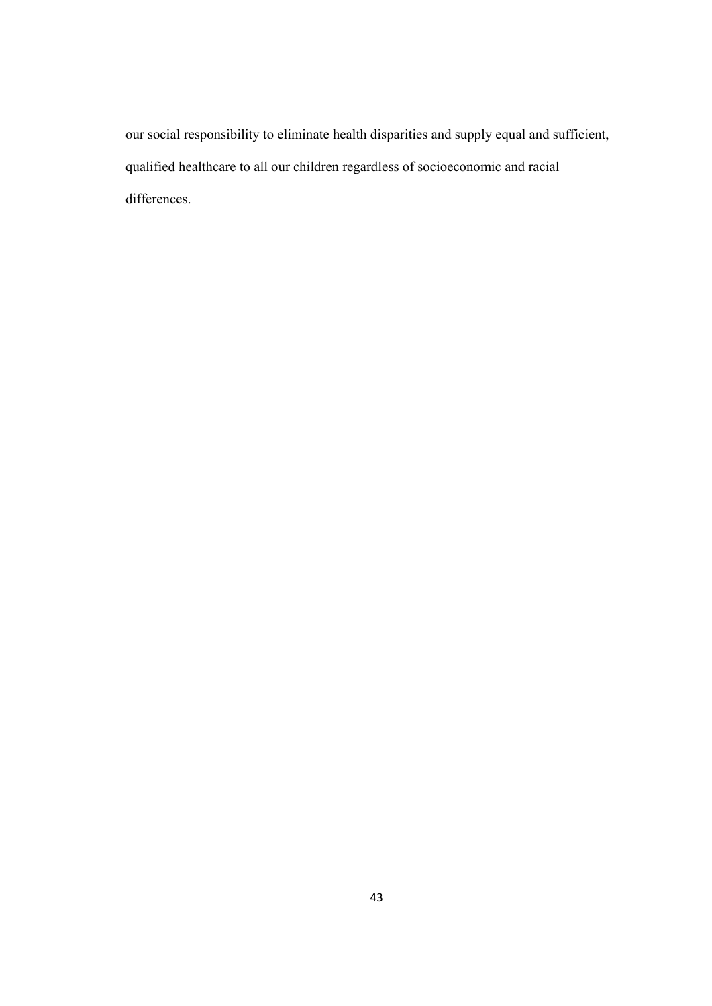our social responsibility to eliminate health disparities and supply equal and sufficient, qualified healthcare to all our children regardless of socioeconomic and racial differences.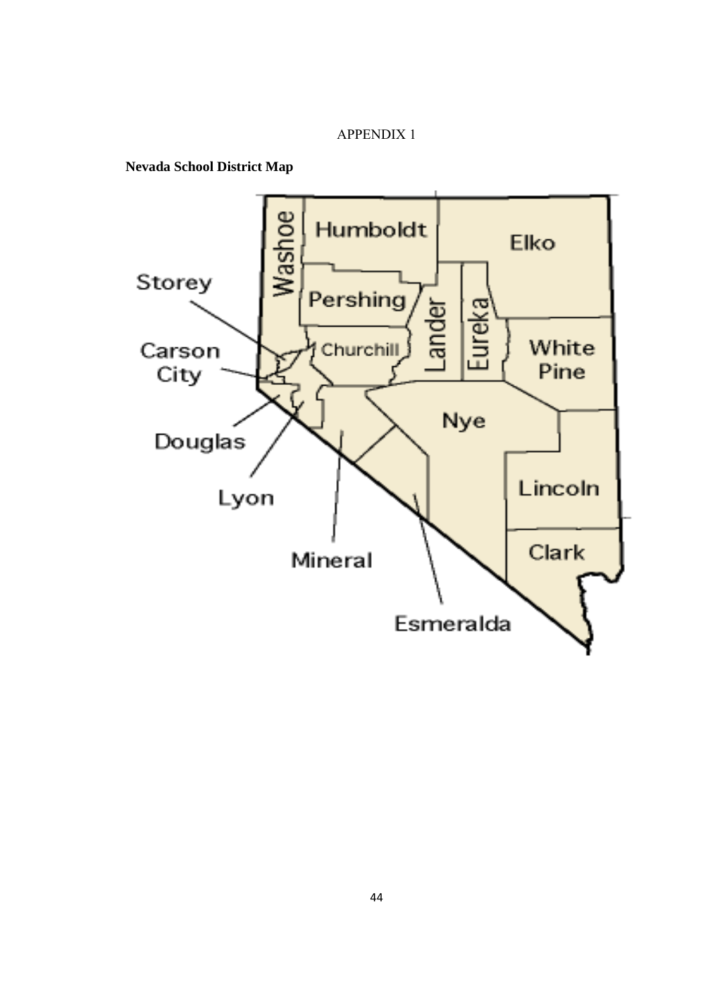#### APPENDIX 1

**Nevada School District Map** 

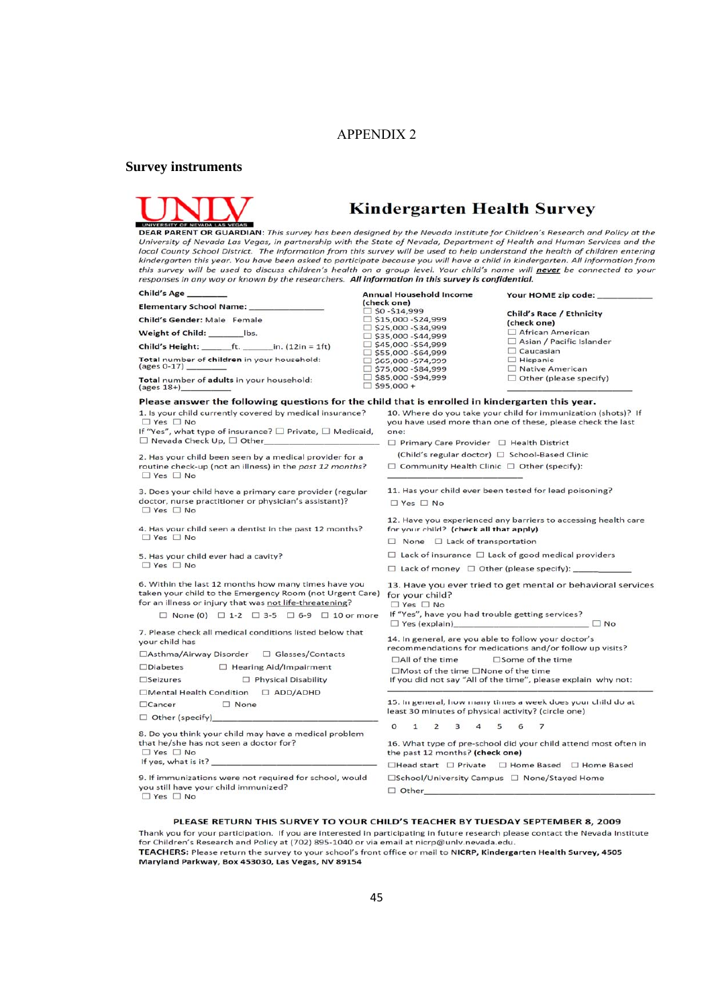#### APPENDIX 2

#### **Survey instruments**



# **Kindergarten Health Survey**

UNIVERSITY OF BUARDIAN: This survey has been designed by the Nevada Institute for Children's Research and Policy at the<br>University of Nevada Las Vegas, in partnership with the State of Nevada, Department of Health and Huma local County School District. The information from this survey will be used to help understand the health of children entering kindergarten this year. You have been asked to participate because you will have a child in kindergarten. All information from this survey will be used to discuss children's health on a group level. Your child's name will **never** be connected to your<br>responses in any way or known by the researchers. **All information in this survey is confidential.** 

| Child's Age __                                                                                                                                                              | <b>Annual Household Income</b>                                                      | Your HOME zip code: _                                                                                                                   |  |
|-----------------------------------------------------------------------------------------------------------------------------------------------------------------------------|-------------------------------------------------------------------------------------|-----------------------------------------------------------------------------------------------------------------------------------------|--|
| Elementary School Name: _____                                                                                                                                               | (check one)<br>$\Box$ \$0 -\$14,999                                                 |                                                                                                                                         |  |
| Child's Gender: Male Female                                                                                                                                                 | $\Box$ \$15,000 -\$24,999                                                           | <b>Child's Race / Ethnicity</b><br>(check one)                                                                                          |  |
| Weight of Child: ________ lbs.                                                                                                                                              | $\Box$ \$25,000 -\$34,999<br>$\Box$ \$35,000 -\$44,999                              | African American                                                                                                                        |  |
| Child's Height: $_{\text{ref.}}$ ft. $_{\text{in.}}$ (12in = 1ft)                                                                                                           | $\Box$ \$45,000 - \$54,999                                                          | $\Box$ Asian / Pacific Islander                                                                                                         |  |
| Total number of children in your household:<br>(ages 0-17) __                                                                                                               | $\Box$ \$55,000 -\$64,999<br>$\Box$ \$65,000 -\$74,999<br>$\Box$ \$75,000 -\$84,999 | $\Box$ Caucasian<br>$\Box$ Hispanic<br>□ Native American                                                                                |  |
| Total number of adults in your household:<br>$(\text{ages }18+)$                                                                                                            | $\Box$ \$85,000 -\$94,999<br>$\Box$ \$95,000 +                                      | $\Box$ Other (please specify)                                                                                                           |  |
| Please answer the following questions for the child that is enrolled in kindergarten this year.                                                                             |                                                                                     |                                                                                                                                         |  |
| 1. Is your child currently covered by medical insurance?<br>$\Box$ Yes $\Box$ No<br>If "Yes", what type of insurance? $\square$ Private, $\square$ Medicaid,                | one:                                                                                | 10. Where do you take your child for immunization (shots)? If<br>you have used more than one of these, please check the last            |  |
| $\Box$ Nevada Check Up, $\Box$ Other                                                                                                                                        | $\Box$ Primary Care Provider $\Box$ Health District                                 |                                                                                                                                         |  |
| 2. Has your child been seen by a medical provider for a                                                                                                                     |                                                                                     | (Child's regular doctor) □ School-Based Clinic                                                                                          |  |
| routine check-up (not an illness) in the past 12 months?<br>$\Box$ Yes $\Box$ No                                                                                            |                                                                                     | $\Box$ Community Health Clinic $\Box$ Other (specify):                                                                                  |  |
| 3. Does your child have a primary care provider (regular<br>doctor, nurse practitioner or physician's assistant)?<br>$\Box$ Yes $\Box$ No                                   | 11. Has your child ever been tested for lead poisoning?<br>$\Box$ Yes $\Box$ No     |                                                                                                                                         |  |
| 4. Has your child seen a dentist in the past 12 months?<br>$\Box$ Yes $\Box$ No                                                                                             | for your child? (check all that apply)<br>$\Box$ None $\Box$ Lack of transportation | 12. Have you experienced any barriers to accessing health care                                                                          |  |
| 5. Has your child ever had a cavity?                                                                                                                                        |                                                                                     | $\Box$ Lack of insurance $\Box$ Lack of good medical providers                                                                          |  |
| $\Box$ Yes $\Box$ No                                                                                                                                                        |                                                                                     | $\Box$ Lack of money $\Box$ Other (please specify): _______                                                                             |  |
| 6. Within the last 12 months how many times have you<br>taken your child to the Emergency Room (not Urgent Care)<br>for an illness or injury that was not life-threatening? | for your child?<br>$\Box$ Yes $\Box$ No                                             | 13. Have you ever tried to get mental or behavioral services                                                                            |  |
| $\Box$ None (0) $\Box$ 1-2 $\Box$ 3-5 $\Box$ 6-9 $\Box$ 10 or more                                                                                                          | If "Yes", have you had trouble getting services?<br>$\Box$ Yes (explain)            | $\Box$ No                                                                                                                               |  |
| 7. Please check all medical conditions listed below that<br>your child has                                                                                                  | 14. In general, are you able to follow your doctor's                                | recommendations for medications and/or follow up visits?                                                                                |  |
| □Asthma/Airway Disorder □ Glasses/Contacts                                                                                                                                  | $\Box$ All of the time                                                              | $\square$ Some of the time                                                                                                              |  |
| □ Hearing Aid/Impairment<br>$\square$ Diabetes                                                                                                                              | □Most of the time □None of the time                                                 |                                                                                                                                         |  |
| Physical Disability<br>$\square$ Seizures                                                                                                                                   |                                                                                     | If you did not say "All of the time", please explain why not:                                                                           |  |
| <b>D</b> ADD/ADHD<br>□Mental Health Condition                                                                                                                               |                                                                                     |                                                                                                                                         |  |
| $\Box$ Cancer<br>$\Box$ None                                                                                                                                                | least 30 minutes of physical activity? (circle one)                                 | 15. In general, how many times a week does your child do at                                                                             |  |
| Other (specify)                                                                                                                                                             | $\circ$<br>$\mathbf{1}$<br>$\overline{2}$<br>3<br>5                                 | 7<br>6                                                                                                                                  |  |
| 8. Do you think your child may have a medical problem<br>that he/she has not seen a doctor for?<br>$\Box$ Yes $\Box$ No<br>If yes, what is it?                              | the past 12 months? (check one)                                                     | 16. What type of pre-school did your child attend most often in<br>$\Box$ Head start $\Box$ Private $\Box$ Home Based $\Box$ Home Based |  |
| 9. If immunizations were not required for school, would<br>you still have your child immunized?<br>$\Box$ Yes $\Box$ No                                                     | □School/University Campus □ None/Stayed Home<br>$\Box$ Other                        |                                                                                                                                         |  |

#### PLEASE RETURN THIS SURVEY TO YOUR CHILD'S TEACHER BY TUESDAY SEPTEMBER 8, 2009

Thank you for your participation. If you are interested in participating in future research please contact the Nevada Institute for Children's Research and Policy at (702) 895-1040 or via email at nicrp@unly.nevada.edu. TEACHERS: Please return the survey to your school's front office or mail to NICRP, Kindergarten Health Survey, 4505 Maryland Parkway, Box 453030, Las Vegas, NV 89154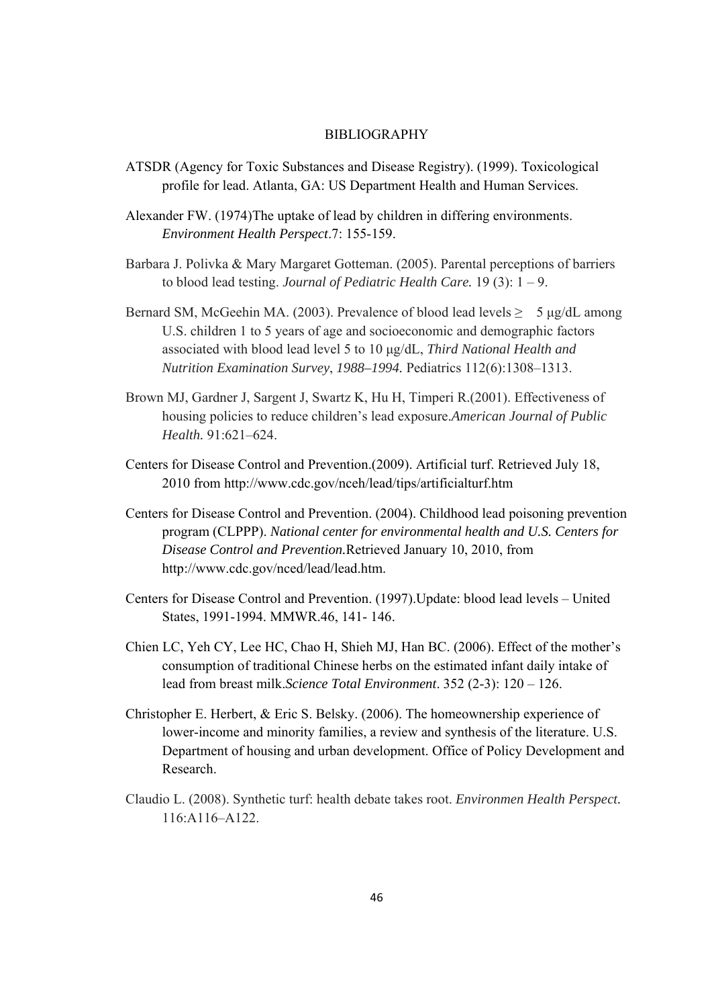#### **BIBLIOGRAPHY**

- ATSDR (Agency for Toxic Substances and Disease Registry). (1999). Toxicological profile for lead. Atlanta, GA: US Department Health and Human Services.
- Alexander FW. (1974)The uptake of lead by children in differing environments. *Environment Health Perspect*.7: 155-159.
- Barbara J. Polivka & Mary Margaret Gotteman. (2005). Parental perceptions of barriers to blood lead testing. *Journal of Pediatric Health Care.* 19 (3): 1 – 9.
- Bernard SM, McGeehin MA. (2003). Prevalence of blood lead levels  $\geq 5 \mu g/dL$  among U.S. children 1 to 5 years of age and socioeconomic and demographic factors associated with blood lead level 5 to 10 μg/dL, *Third National Health and Nutrition Examination Survey*, *1988–1994.* Pediatrics 112(6):1308–1313.
- Brown MJ, Gardner J, Sargent J, Swartz K, Hu H, Timperi R.(2001). Effectiveness of housing policies to reduce children's lead exposure.*American Journal of Public Health.* 91:621–624.
- Centers for Disease Control and Prevention.(2009). Artificial turf. Retrieved July 18, 2010 from http://www.cdc.gov/nceh/lead/tips/artificialturf.htm
- Centers for Disease Control and Prevention. (2004). Childhood lead poisoning prevention program (CLPPP). *National center for environmental health and U.S. Centers for Disease Control and Prevention.*Retrieved January 10, 2010, from http://www.cdc.gov/nced/lead/lead.htm.
- Centers for Disease Control and Prevention. (1997).Update: blood lead levels United States, 1991-1994. MMWR.46, 141- 146.
- Chien LC, Yeh CY, Lee HC, Chao H, Shieh MJ, Han BC. (2006). Effect of the mother's consumption of traditional Chinese herbs on the estimated infant daily intake of lead from breast milk.*Science Total Environment*. 352 (2-3): 120 – 126.
- Christopher E. Herbert, & Eric S. Belsky. (2006). The homeownership experience of lower-income and minority families, a review and synthesis of the literature. U.S. Department of housing and urban development. Office of Policy Development and Research.
- Claudio L. (2008). Synthetic turf: health debate takes root. *Environmen Health Perspect.* 116:A116–A122.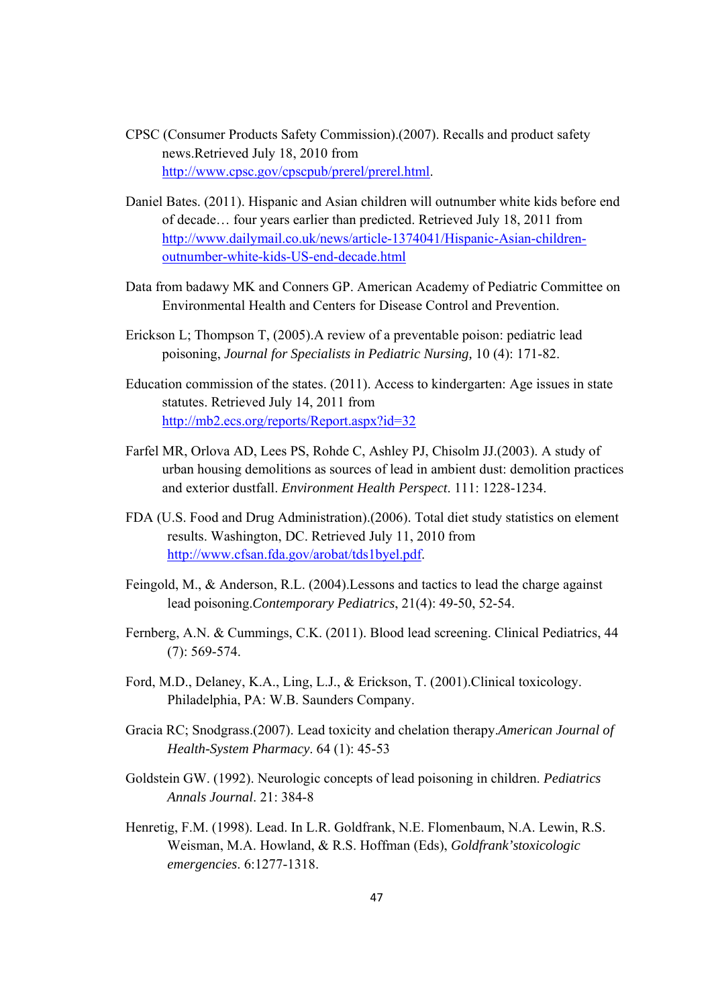- CPSC (Consumer Products Safety Commission).(2007). Recalls and product safety news.Retrieved July 18, 2010 from http://www.cpsc.gov/cpscpub/prerel/prerel.html.
- Daniel Bates. (2011). Hispanic and Asian children will outnumber white kids before end of decade… four years earlier than predicted. Retrieved July 18, 2011 from http://www.dailymail.co.uk/news/article-1374041/Hispanic-Asian-childrenoutnumber-white-kids-US-end-decade.html
- Data from badawy MK and Conners GP. American Academy of Pediatric Committee on Environmental Health and Centers for Disease Control and Prevention.
- Erickson L; Thompson T, (2005).A review of a preventable poison: pediatric lead poisoning, *Journal for Specialists in Pediatric Nursing,* 10 (4): 171-82.
- Education commission of the states. (2011). Access to kindergarten: Age issues in state statutes. Retrieved July 14, 2011 from http://mb2.ecs.org/reports/Report.aspx?id=32
- Farfel MR, Orlova AD, Lees PS, Rohde C, Ashley PJ, Chisolm JJ.(2003). A study of urban housing demolitions as sources of lead in ambient dust: demolition practices and exterior dustfall. *Environment Health Perspect*. 111: 1228-1234.
- FDA (U.S. Food and Drug Administration).(2006). Total diet study statistics on element results. Washington, DC. Retrieved July 11, 2010 from http://www.cfsan.fda.gov/arobat/tds1byel.pdf.
- Feingold, M., & Anderson, R.L. (2004).Lessons and tactics to lead the charge against lead poisoning.*Contemporary Pediatrics*, 21(4): 49-50, 52-54.
- Fernberg, A.N. & Cummings, C.K. (2011). Blood lead screening. Clinical Pediatrics, 44 (7): 569-574.
- Ford, M.D., Delaney, K.A., Ling, L.J., & Erickson, T. (2001).Clinical toxicology. Philadelphia, PA: W.B. Saunders Company.
- Gracia RC; Snodgrass.(2007). Lead toxicity and chelation therapy.*American Journal of Health-System Pharmacy*. 64 (1): 45-53
- Goldstein GW. (1992). Neurologic concepts of lead poisoning in children. *Pediatrics Annals Journal*. 21: 384-8
- Henretig, F.M. (1998). Lead. In L.R. Goldfrank, N.E. Flomenbaum, N.A. Lewin, R.S. Weisman, M.A. Howland, & R.S. Hoffman (Eds), *Goldfrank'stoxicologic emergencies*. 6:1277-1318.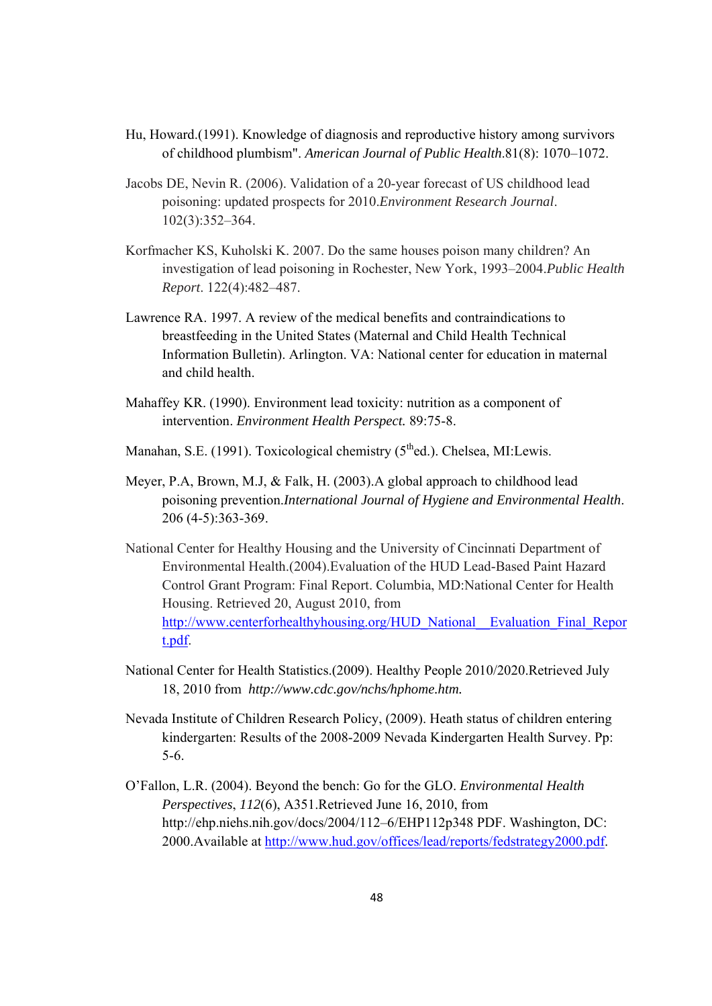- Hu, Howard.(1991). Knowledge of diagnosis and reproductive history among survivors of childhood plumbism". *American Journal of Public Health*.81(8): 1070–1072.
- Jacobs DE, Nevin R. (2006). Validation of a 20-year forecast of US childhood lead poisoning: updated prospects for 2010.*Environment Research Journal*. 102(3):352–364.
- Korfmacher KS, Kuholski K. 2007. Do the same houses poison many children? An investigation of lead poisoning in Rochester, New York, 1993–2004.*Public Health Report*. 122(4):482–487.
- Lawrence RA. 1997. A review of the medical benefits and contraindications to breastfeeding in the United States (Maternal and Child Health Technical Information Bulletin). Arlington. VA: National center for education in maternal and child health.
- Mahaffey KR. (1990). Environment lead toxicity: nutrition as a component of intervention. *Environment Health Perspect.* 89:75-8.
- Manahan, S.E. (1991). Toxicological chemistry (5<sup>th</sup>ed.). Chelsea, MI:Lewis.
- Meyer, P.A, Brown, M.J, & Falk, H. (2003).A global approach to childhood lead poisoning prevention.*International Journal of Hygiene and Environmental Health*. 206 (4-5):363-369.
- National Center for Healthy Housing and the University of Cincinnati Department of Environmental Health.(2004).Evaluation of the HUD Lead-Based Paint Hazard Control Grant Program: Final Report. Columbia, MD:National Center for Health Housing. Retrieved 20, August 2010, from http://www.centerforhealthyhousing.org/HUD\_National\_\_Evaluation\_Final\_Repor t.pdf.
- National Center for Health Statistics.(2009). Healthy People 2010/2020.Retrieved July 18, 2010 from *http://www.cdc.gov/nchs/hphome.htm.*
- Nevada Institute of Children Research Policy, (2009). Heath status of children entering kindergarten: Results of the 2008-2009 Nevada Kindergarten Health Survey. Pp: 5-6.
- O'Fallon, L.R. (2004). Beyond the bench: Go for the GLO. *Environmental Health Perspectives*, *112*(6), A351.Retrieved June 16, 2010, from http://ehp.niehs.nih.gov/docs/2004/112–6/EHP112p348 PDF. Washington, DC: 2000.Available at http://www.hud.gov/offices/lead/reports/fedstrategy2000.pdf.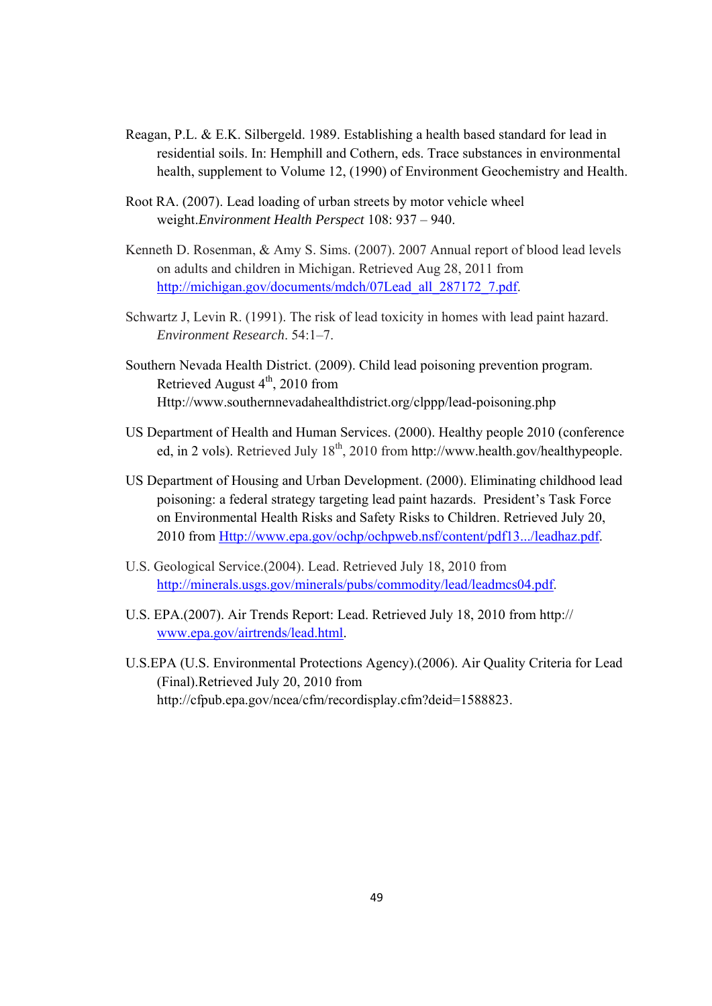- Reagan, P.L. & E.K. Silbergeld. 1989. Establishing a health based standard for lead in residential soils. In: Hemphill and Cothern, eds. Trace substances in environmental health, supplement to Volume 12, (1990) of Environment Geochemistry and Health.
- Root RA. (2007). Lead loading of urban streets by motor vehicle wheel weight.*Environment Health Perspect* 108: 937 – 940.
- Kenneth D. Rosenman, & Amy S. Sims. (2007). 2007 Annual report of blood lead levels on adults and children in Michigan. Retrieved Aug 28, 2011 from http://michigan.gov/documents/mdch/07Lead\_all\_287172\_7.pdf.
- Schwartz J, Levin R. (1991). The risk of lead toxicity in homes with lead paint hazard. *Environment Research*. 54:1–7.
- Southern Nevada Health District. (2009). Child lead poisoning prevention program. Retrieved August  $4<sup>th</sup>$ , 2010 from Http://www.southernnevadahealthdistrict.org/clppp/lead-poisoning.php
- US Department of Health and Human Services. (2000). Healthy people 2010 (conference ed, in 2 vols). Retrieved July  $18<sup>th</sup>$ , 2010 from http://www.health.gov/healthypeople.
- US Department of Housing and Urban Development. (2000). Eliminating childhood lead poisoning: a federal strategy targeting lead paint hazards. President's Task Force on Environmental Health Risks and Safety Risks to Children. Retrieved July 20, 2010 from Http://www.epa.gov/ochp/ochpweb.nsf/content/pdf13.../leadhaz.pdf.
- U.S. Geological Service.(2004). Lead. Retrieved July 18, 2010 from http://minerals.usgs.gov/minerals/pubs/commodity/lead/leadmcs04.pdf.
- U.S. EPA.(2007). Air Trends Report: Lead. Retrieved July 18, 2010 from http:// www.epa.gov/airtrends/lead.html.
- U.S.EPA (U.S. Environmental Protections Agency).(2006). Air Quality Criteria for Lead (Final).Retrieved July 20, 2010 from http://cfpub.epa.gov/ncea/cfm/recordisplay.cfm?deid=1588823.